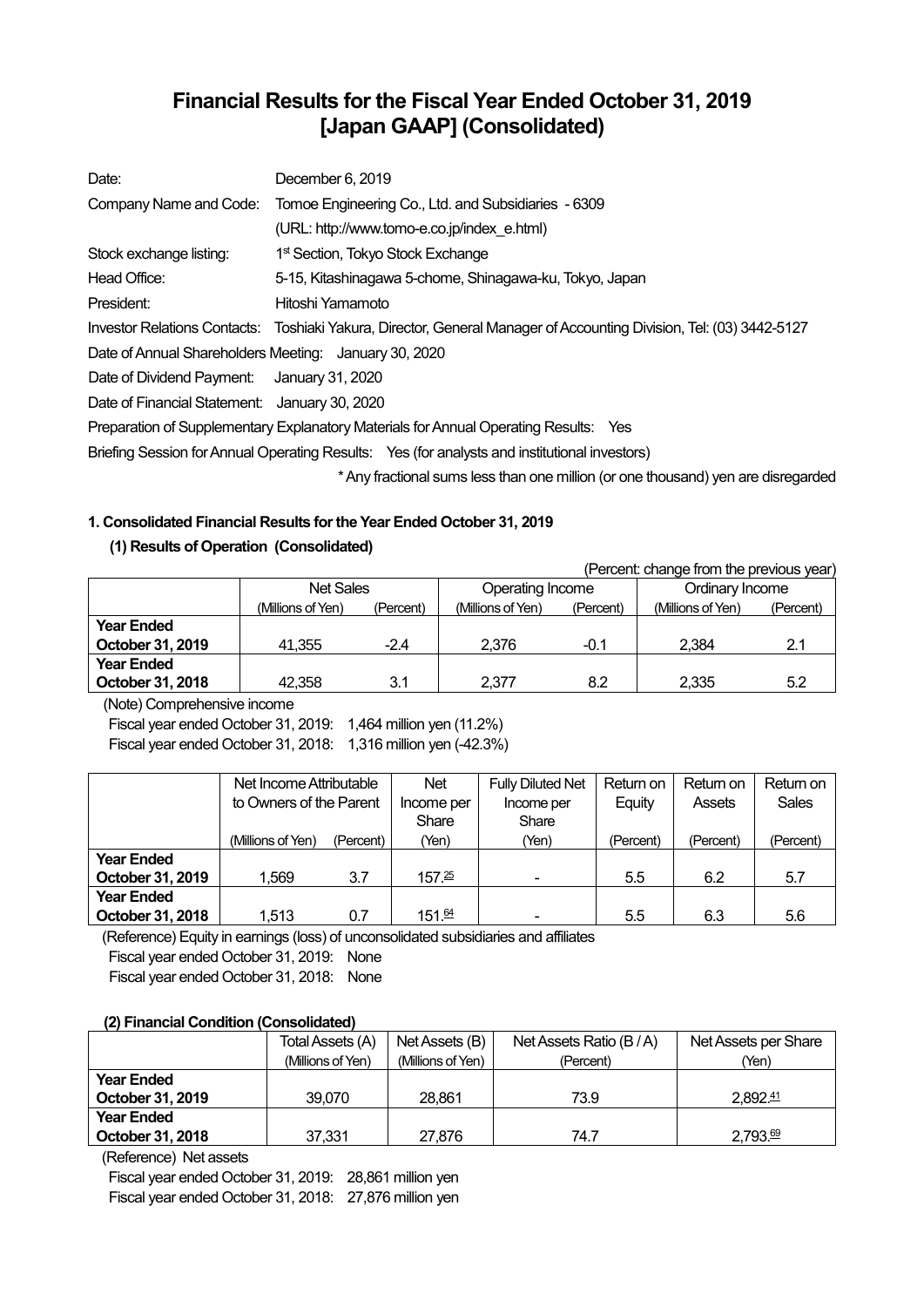# **Financial Results for the Fiscal Year Ended October 31, 2019 [Japan GAAP] (Consolidated)**

| Date:                                                 | December 6, 2019                                                                                                    |
|-------------------------------------------------------|---------------------------------------------------------------------------------------------------------------------|
| Company Name and Code:                                | Tomoe Engineering Co., Ltd. and Subsidiaries - 6309                                                                 |
|                                                       | (URL: http://www.tomo-e.co.jp/index e.html)                                                                         |
| Stock exchange listing:                               | 1 <sup>st</sup> Section, Tokyo Stock Exchange                                                                       |
| Head Office:                                          | 5-15, Kitashinagawa 5-chome, Shinagawa-ku, Tokyo, Japan                                                             |
| President:                                            | Hitoshi Yamamoto                                                                                                    |
|                                                       | Investor Relations Contacts: Toshiaki Yakura, Director, General Manager of Accounting Division, Tel: (03) 3442-5127 |
| Date of Annual Shareholders Meeting: January 30, 2020 |                                                                                                                     |
| Date of Dividend Payment: January 31, 2020            |                                                                                                                     |
| Date of Financial Statement: January 30, 2020         |                                                                                                                     |
|                                                       | Preparation of Supplementary Explanatory Materials for Annual Operating Results: Yes                                |
|                                                       | Briefing Session for Annual Operating Results: Yes (for analysts and institutional investors)                       |
|                                                       | * Any fractional sums less than one million (or one thousand) yen are disregarded                                   |

# **1. Consolidated Financial Results for the Year Ended October 31, 2019**

## **(1) Results of Operation (Consolidated)**

(Percent: change from the previous year) Net Sales **Operating Income** Ordinary Income (Millions of Yen) (Percent) (Millions of Yen) (Percent) (Millions of Yen) (Percent) **Year Ended October 31, 2019**  $\begin{array}{|c|c|c|c|c|c|} \hline \end{array}$  41,355 -2.4  $\begin{array}{|c|c|c|c|c|} \hline \end{array}$  2,376 -0.1  $\begin{array}{|c|c|c|c|c|c|} \hline \end{array}$  2,384 -2.1 **Year Ended October 31, 2018** <br>42,358 3.1 <br>2,377 8.2 <br>2,335 5.2

(Note) Comprehensive income

Fiscal year ended October 31, 2019: 1,464 million yen (11.2%) Fiscal year ended October 31, 2018: 1,316 million yen (-42.3%)

|                   | Net Income Attributable |           | Net        | <b>Fully Diluted Net</b> | Return on | Return on | Return on |
|-------------------|-------------------------|-----------|------------|--------------------------|-----------|-----------|-----------|
|                   | to Owners of the Parent |           | Income per | Income per               | Equity    | Assets    | Sales     |
|                   |                         |           | Share      | Share                    |           |           |           |
|                   | (Millions of Yen)       | (Percent) | (Yen)      | (Yen)                    | (Percent) | (Percent) | (Percent) |
| <b>Year Ended</b> |                         |           |            |                          |           |           |           |
| October 31, 2019  | 1.569                   | 3.7       | 157.25     |                          | 5.5       | 6.2       | 5.7       |
| <b>Year Ended</b> |                         |           |            |                          |           |           |           |
| October 31, 2018  | 1,513                   | 0.7       | 151.64     |                          | 5.5       | 6.3       | 5.6       |

(Reference) Equity in earnings (loss) of unconsolidated subsidiaries and affiliates

Fiscal year ended October 31, 2019: None

Fiscal year ended October 31, 2018: None

### **(2) Financial Condition (Consolidated)**

|                   | Total Assets (A)<br>Net Assets (B) |                   | Net Assets Ratio (B/A) | Net Assets per Share |  |
|-------------------|------------------------------------|-------------------|------------------------|----------------------|--|
|                   | (Millions of Yen)                  | (Millions of Yen) | (Percent)              | (Yen)                |  |
| <b>Year Ended</b> |                                    |                   |                        |                      |  |
| October 31, 2019  | 39,070                             | 28.861            | 73.9                   | 2,892.41             |  |
| <b>Year Ended</b> |                                    |                   |                        |                      |  |
| October 31, 2018  | 37.331                             | 27.876            | 74.7                   | 2,793.69             |  |

(Reference) Net assets

Fiscal year ended October 31, 2019: 28,861 million yen Fiscal year ended October 31, 2018: 27,876 million yen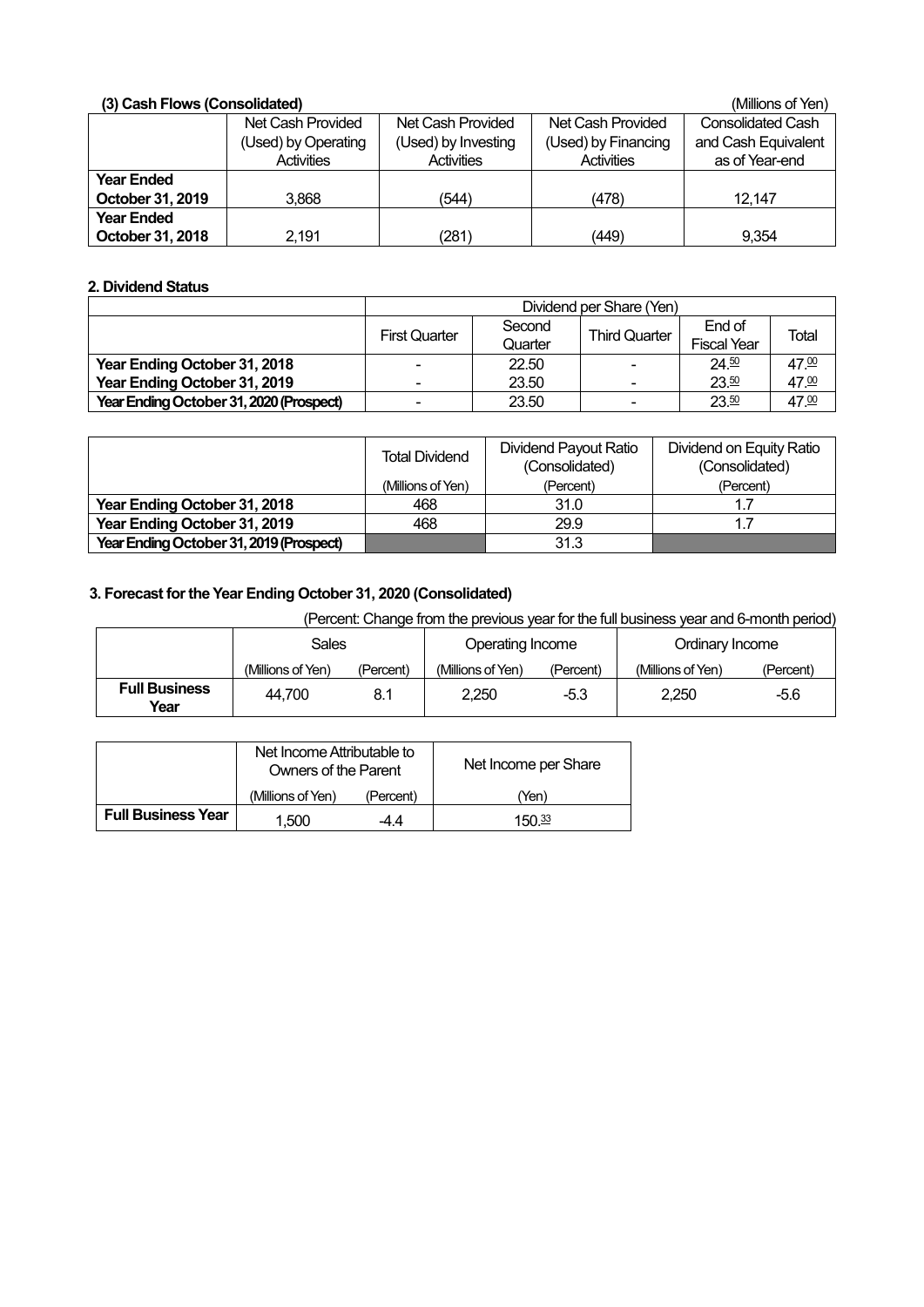| (3) Cash Flows (Consolidated) |                     |                     |                     | (Millions of Yen)        |
|-------------------------------|---------------------|---------------------|---------------------|--------------------------|
|                               | Net Cash Provided   | Net Cash Provided   | Net Cash Provided   | <b>Consolidated Cash</b> |
|                               | (Used) by Operating | (Used) by Investing | (Used) by Financing | and Cash Equivalent      |
|                               | <b>Activities</b>   | <b>Activities</b>   | <b>Activities</b>   | as of Year-end           |
| <b>Year Ended</b>             |                     |                     |                     |                          |
| October 31, 2019              | 3.868               | (544)               | (478)               | 12.147                   |
| <b>Year Ended</b>             |                     |                     |                     |                          |
| October 31, 2018              | 2.191               | (281)               | (449)               | 9.354                    |

# **2. Dividend Status**

|                                         | Dividend per Share (Yen) |                                                                                    |                |       |                  |  |  |
|-----------------------------------------|--------------------------|------------------------------------------------------------------------------------|----------------|-------|------------------|--|--|
|                                         | <b>First Quarter</b>     | End of<br>Second<br><b>Third Quarter</b><br>Total<br><b>Fiscal Year</b><br>Quarter |                |       |                  |  |  |
| Year Ending October 31, 2018            |                          | 22.50                                                                              | $\blacksquare$ | 24.50 | 47 <sup>00</sup> |  |  |
| Year Ending October 31, 2019            |                          | 23.50                                                                              | $\blacksquare$ | 23.50 | 47.00            |  |  |
| Year Ending October 31, 2020 (Prospect) | 23.50<br>23.50<br>۰<br>- |                                                                                    |                |       |                  |  |  |

|                                         | <b>Total Dividend</b> | <b>Dividend Payout Ratio</b><br>(Consolidated) | Dividend on Equity Ratio<br>(Consolidated) |  |
|-----------------------------------------|-----------------------|------------------------------------------------|--------------------------------------------|--|
|                                         | (Millions of Yen)     | (Percent)                                      | (Percent)                                  |  |
| Year Ending October 31, 2018            | 468                   | 31.0                                           |                                            |  |
| Year Ending October 31, 2019            | 468                   | 29.9                                           |                                            |  |
| Year Ending October 31, 2019 (Prospect) |                       | 31.3                                           |                                            |  |

# **3. Forecast for the Year Ending October 31, 2020 (Consolidated)**

(Percent: Change from the previous year for the full business year and 6-month period)

|                              | <b>Sales</b>      |           | Operating Income  |           | Ordinary Income   |           |
|------------------------------|-------------------|-----------|-------------------|-----------|-------------------|-----------|
|                              | (Millions of Yen) | (Percent) | (Millions of Yen) | (Percent) | (Millions of Yen) | (Percent) |
| <b>Full Business</b><br>Year | 44.700            | 8.1       | 2,250             | $-5.3$    | 2.250             | -5.6      |

|                           | Net Income Attributable to<br>Owners of the Parent |           | Net Income per Share |
|---------------------------|----------------------------------------------------|-----------|----------------------|
|                           | (Millions of Yen)                                  | (Percent) | 'Yen'                |
| <b>Full Business Year</b> | 1.500                                              | 44        | 150 $\frac{33}{2}$   |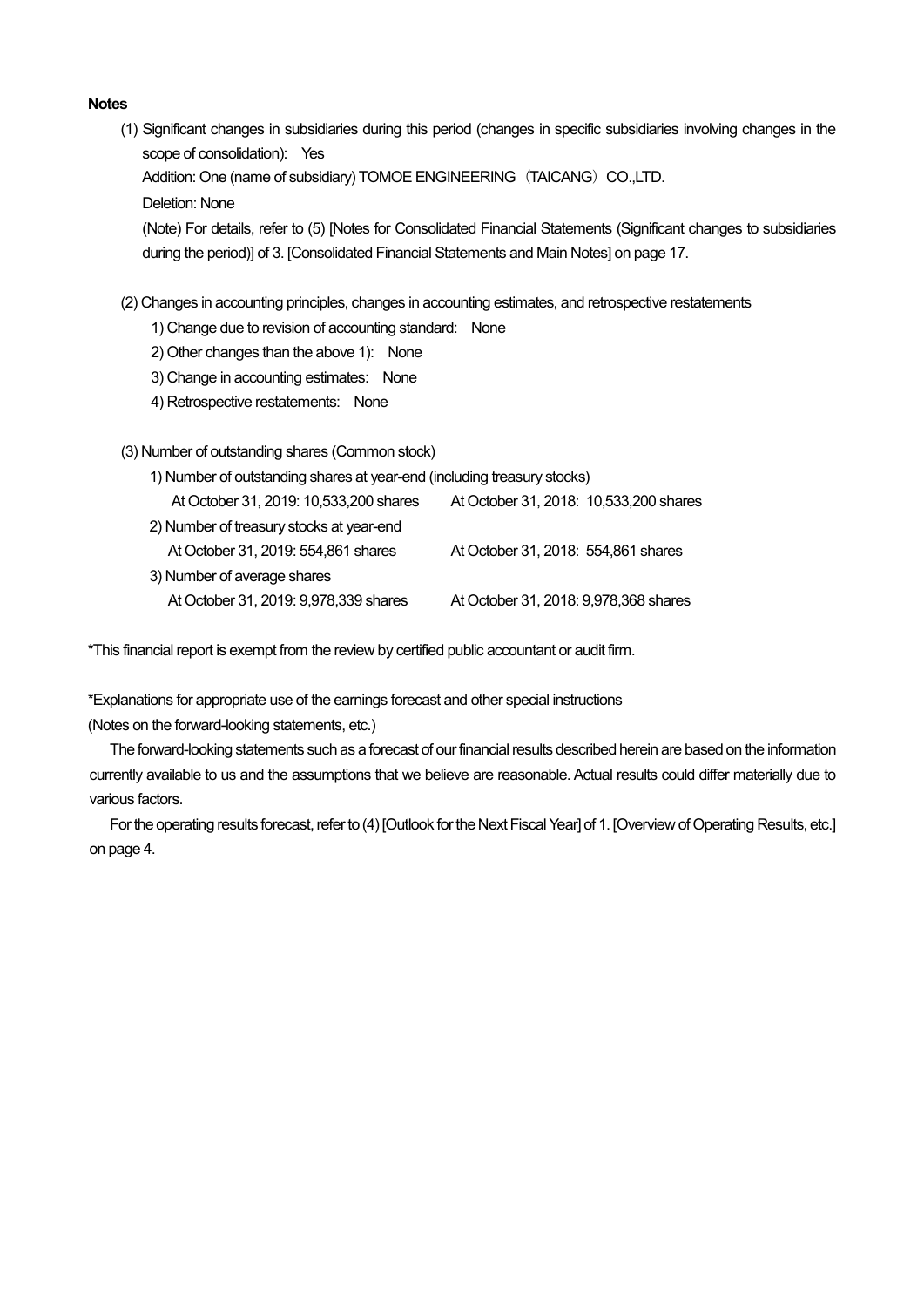### **Notes**

(1) Significant changes in subsidiaries during this period (changes in specific subsidiaries involving changes in the scope of consolidation): Yes

Addition: One (name of subsidiary) TOMOE ENGINEERING (TAICANG) CO.,LTD.

Deletion: None

(Note) For details, refer to (5) [Notes for Consolidated Financial Statements (Significant changes to subsidiaries during the period)] of 3. [Consolidated Financial Statements and Main Notes] on page 17.

- (2) Changes in accounting principles, changes in accounting estimates, and retrospective restatements
	- 1) Change due to revision of accounting standard: None
	- 2) Other changes than the above 1): None
	- 3) Change in accounting estimates: None
	- 4) Retrospective restatements: None

### (3) Number of outstanding shares (Common stock)

1) Number of outstanding shares at year-end (including treasury stocks)

| At October 31, 2019: 10,533,200 shares   | At October 31, 2018: 10,533,200 shares |
|------------------------------------------|----------------------------------------|
| 2) Number of treasury stocks at year-end |                                        |
| At October 31, 2019: 554,861 shares      | At October 31, 2018: 554,861 shares    |
| 3) Number of average shares              |                                        |
| At October 31, 2019: 9,978,339 shares    | At October 31, 2018: 9,978,368 shares  |

\*This financial report is exempt from the review by certified public accountant or audit firm.

\*Explanations for appropriate use of the earnings forecast and other special instructions (Notes on the forward-looking statements, etc.)

The forward-looking statements such as a forecast of our financial results described herein are based on the information currently available to us and the assumptions that we believe are reasonable. Actual results could differ materially due to various factors.

For the operating results forecast, refer to (4) [Outlook for the Next Fiscal Year] of 1. [Overview of Operating Results, etc.] on page 4.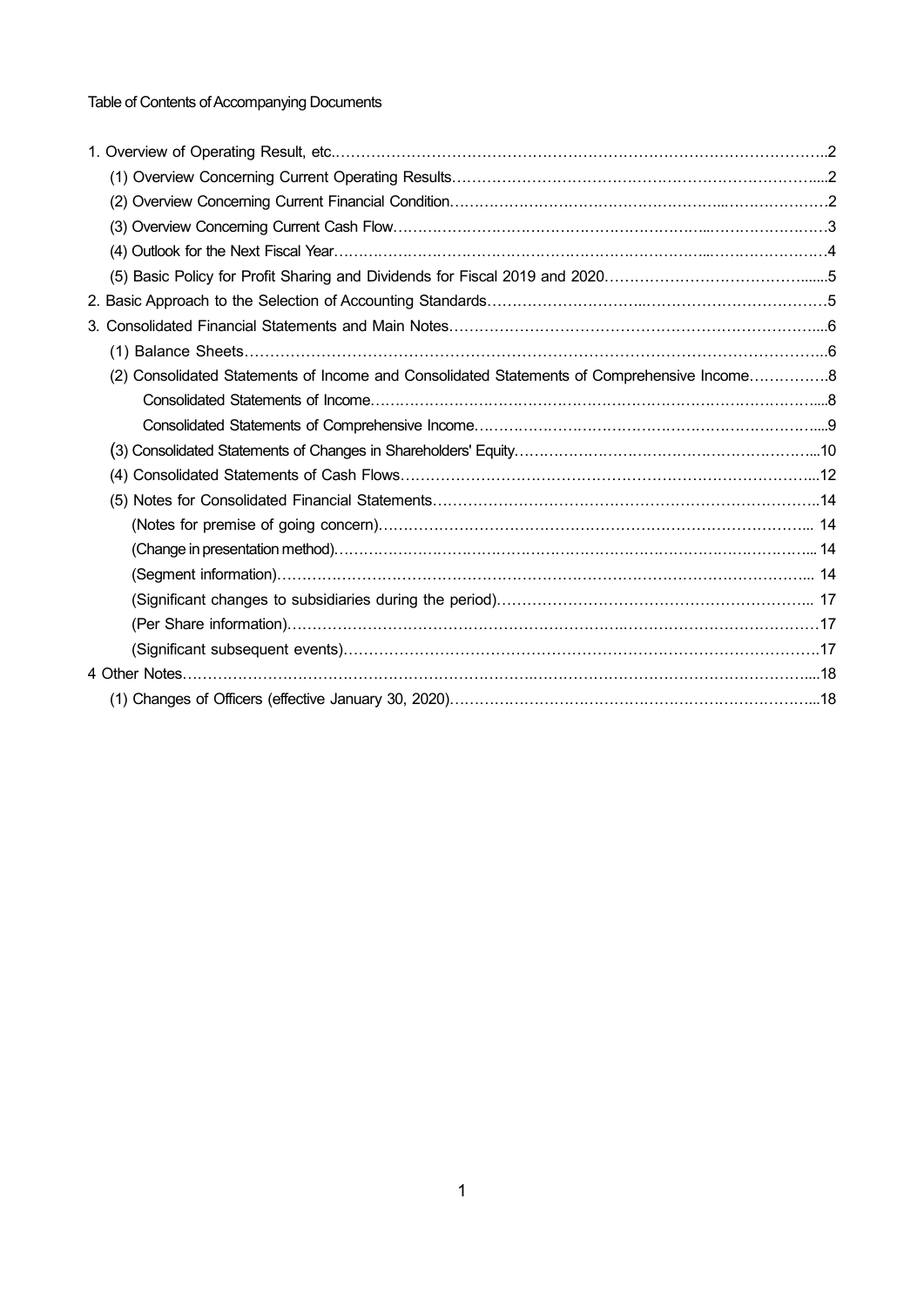Table of Contents of Accompanying Documents

| (2) Consolidated Statements of Income and Consolidated Statements of Comprehensive Income8 |  |
|--------------------------------------------------------------------------------------------|--|
|                                                                                            |  |
|                                                                                            |  |
|                                                                                            |  |
|                                                                                            |  |
|                                                                                            |  |
|                                                                                            |  |
|                                                                                            |  |
|                                                                                            |  |
|                                                                                            |  |
|                                                                                            |  |
|                                                                                            |  |
|                                                                                            |  |
|                                                                                            |  |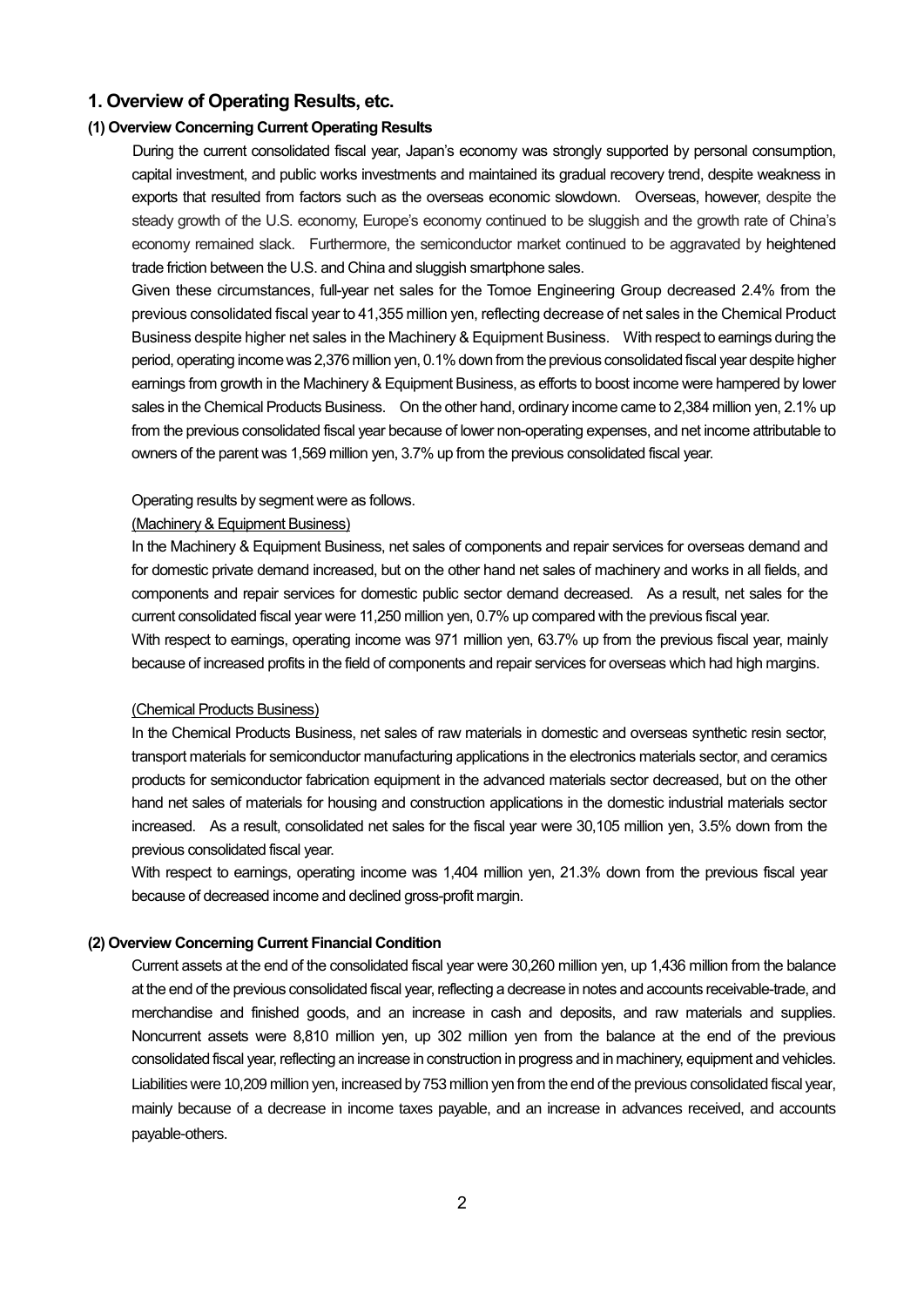### **1. Overview of Operating Results, etc.**

### **(1) Overview Concerning Current Operating Results**

During the current consolidated fiscal year, Japan's economy was strongly supported by personal consumption, capital investment, and public works investments and maintained its gradual recovery trend, despite weakness in exports that resulted from factors such as the overseas economic slowdown. Overseas, however, despite the steady growth of the U.S. economy, Europe's economy continued to be sluggish and the growth rate of China's economy remained slack. Furthermore, the semiconductor market continued to be aggravated by heightened trade friction between the U.S. and China and sluggish smartphone sales.

Given these circumstances, full-year net sales for the Tomoe Engineering Group decreased 2.4% from the previous consolidated fiscal year to 41,355 million yen, reflecting decrease of net sales in the Chemical Product Business despite higher net sales in the Machinery & Equipment Business. With respect to earnings during the period, operating income was 2,376 million yen, 0.1% down from the previous consolidated fiscal year despite higher earnings from growth in the Machinery & Equipment Business, as efforts to boost income were hampered by lower sales in the Chemical Products Business. On the other hand, ordinary income came to 2,384 million yen, 2.1% up from the previous consolidated fiscal year because of lower non-operating expenses, and net income attributable to owners of the parent was 1,569 million yen, 3.7% up from the previous consolidated fiscal year.

#### Operating results by segment were as follows.

### (Machinery & Equipment Business)

In the Machinery & Equipment Business, net sales of components and repair services for overseas demand and for domestic private demand increased, but on the other hand net sales of machinery and works in all fields, and components and repair services for domestic public sector demand decreased. As a result, net sales for the current consolidated fiscal year were 11,250 million yen, 0.7% up compared with the previous fiscal year. With respect to earnings, operating income was 971 million yen, 63.7% up from the previous fiscal year, mainly because of increased profits in the field of components and repair services for overseas which had high margins.

### (Chemical Products Business)

In the Chemical Products Business, net sales of raw materials in domestic and overseas synthetic resin sector, transport materials for semiconductor manufacturing applications in the electronics materials sector, and ceramics products for semiconductor fabrication equipment in the advanced materials sector decreased, but on the other hand net sales of materials for housing and construction applications in the domestic industrial materials sector increased. As a result, consolidated net sales for the fiscal year were 30,105 million yen, 3.5% down from the previous consolidated fiscal year.

With respect to earnings, operating income was 1,404 million yen, 21.3% down from the previous fiscal year because of decreased income and declined gross-profit margin.

### **(2) Overview Concerning Current Financial Condition**

Current assets at the end of the consolidated fiscal year were 30,260 million yen, up 1,436 million from the balance at the end of the previous consolidated fiscal year, reflecting a decrease in notes and accounts receivable-trade, and merchandise and finished goods, and an increase in cash and deposits, and raw materials and supplies. Noncurrent assets were 8,810 million yen, up 302 million yen from the balance at the end of the previous consolidated fiscal year, reflecting an increase in construction in progress and in machinery, equipment and vehicles. Liabilities were 10,209 million yen, increased by 753 million yen from the end of the previous consolidated fiscal year, mainly because of a decrease in income taxes payable, and an increase in advances received, and accounts payable-others.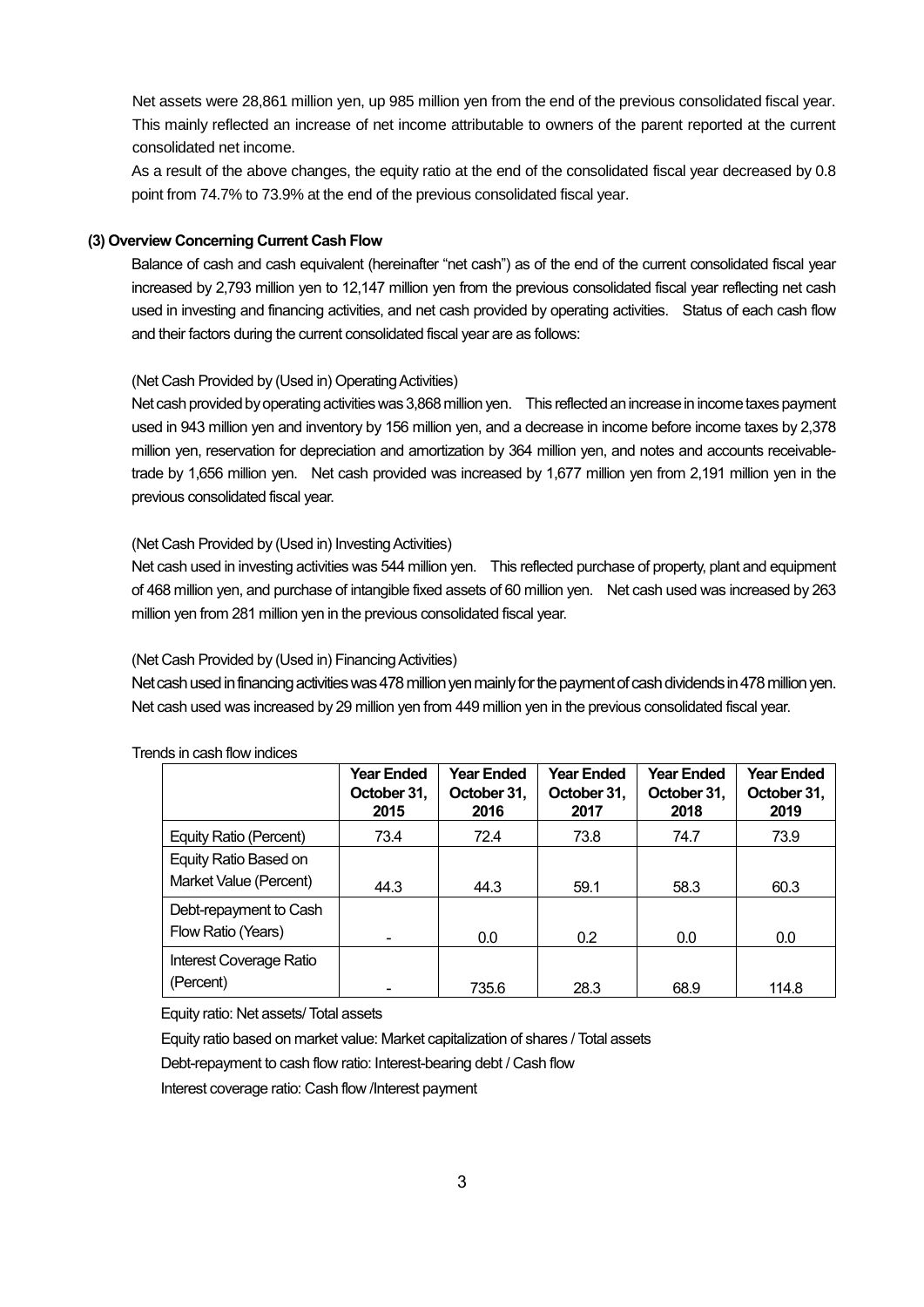Net assets were 28,861 million yen, up 985 million yen from the end of the previous consolidated fiscal year. This mainly reflected an increase of net income attributable to owners of the parent reported at the current consolidated net income.

As a result of the above changes, the equity ratio at the end of the consolidated fiscal year decreased by 0.8 point from 74.7% to 73.9% at the end of the previous consolidated fiscal year.

### **(3) Overview Concerning Current Cash Flow**

Balance of cash and cash equivalent (hereinafter "net cash") as of the end of the current consolidated fiscal year increased by 2,793 million yen to 12,147 million yen from the previous consolidated fiscal year reflecting net cash used in investing and financing activities, and net cash provided by operating activities. Status of each cash flow and their factors during the current consolidated fiscal year are as follows:

### (Net Cash Provided by (Used in) Operating Activities)

Net cash provided by operating activities was 3,868 million yen. This reflected an increase in income taxes payment used in 943 million yen and inventory by 156 million yen, and a decrease in income before income taxes by 2,378 million yen, reservation for depreciation and amortization by 364 million yen, and notes and accounts receivabletrade by 1,656 million yen. Net cash provided was increased by 1,677 million yen from 2,191 million yen in the previous consolidated fiscal year.

### (Net Cash Provided by (Used in) Investing Activities)

Net cash used in investing activities was 544 million yen. This reflected purchase of property, plant and equipment of 468 million yen, and purchase of intangible fixed assets of 60 million yen. Net cash used was increased by 263 million yen from 281 million yen in the previous consolidated fiscal year.

### (Net Cash Provided by (Used in) Financing Activities)

Net cash used in financing activities was 478 million yen mainly for the payment of cash dividends in 478 million yen. Net cash used was increased by 29 million yen from 449 million yen in the previous consolidated fiscal year.

|                                                 | <b>Year Ended</b><br>October 31,<br>2015 | <b>Year Ended</b><br>October 31,<br>2016 | <b>Year Ended</b><br>October 31,<br>2017 | <b>Year Ended</b><br>October 31,<br>2018 | <b>Year Ended</b><br>October 31,<br>2019 |
|-------------------------------------------------|------------------------------------------|------------------------------------------|------------------------------------------|------------------------------------------|------------------------------------------|
| Equity Ratio (Percent)                          | 73.4                                     | 72.4                                     | 73.8                                     | 74.7                                     | 73.9                                     |
| Equity Ratio Based on<br>Market Value (Percent) | 44.3                                     | 44.3                                     | 59.1                                     | 58.3                                     | 60.3                                     |
| Debt-repayment to Cash<br>Flow Ratio (Years)    |                                          | 0.0                                      | 0.2                                      | 0.0                                      | 0.0                                      |
| Interest Coverage Ratio<br>(Percent)            |                                          | 735.6                                    | 28.3                                     | 68.9                                     | 114.8                                    |

#### Trends in cash flow indices

Equity ratio: Net assets/ Total assets

Equity ratio based on market value: Market capitalization of shares / Total assets

Debt-repayment to cash flow ratio: Interest-bearing debt / Cash flow

Interest coverage ratio: Cash flow /Interest payment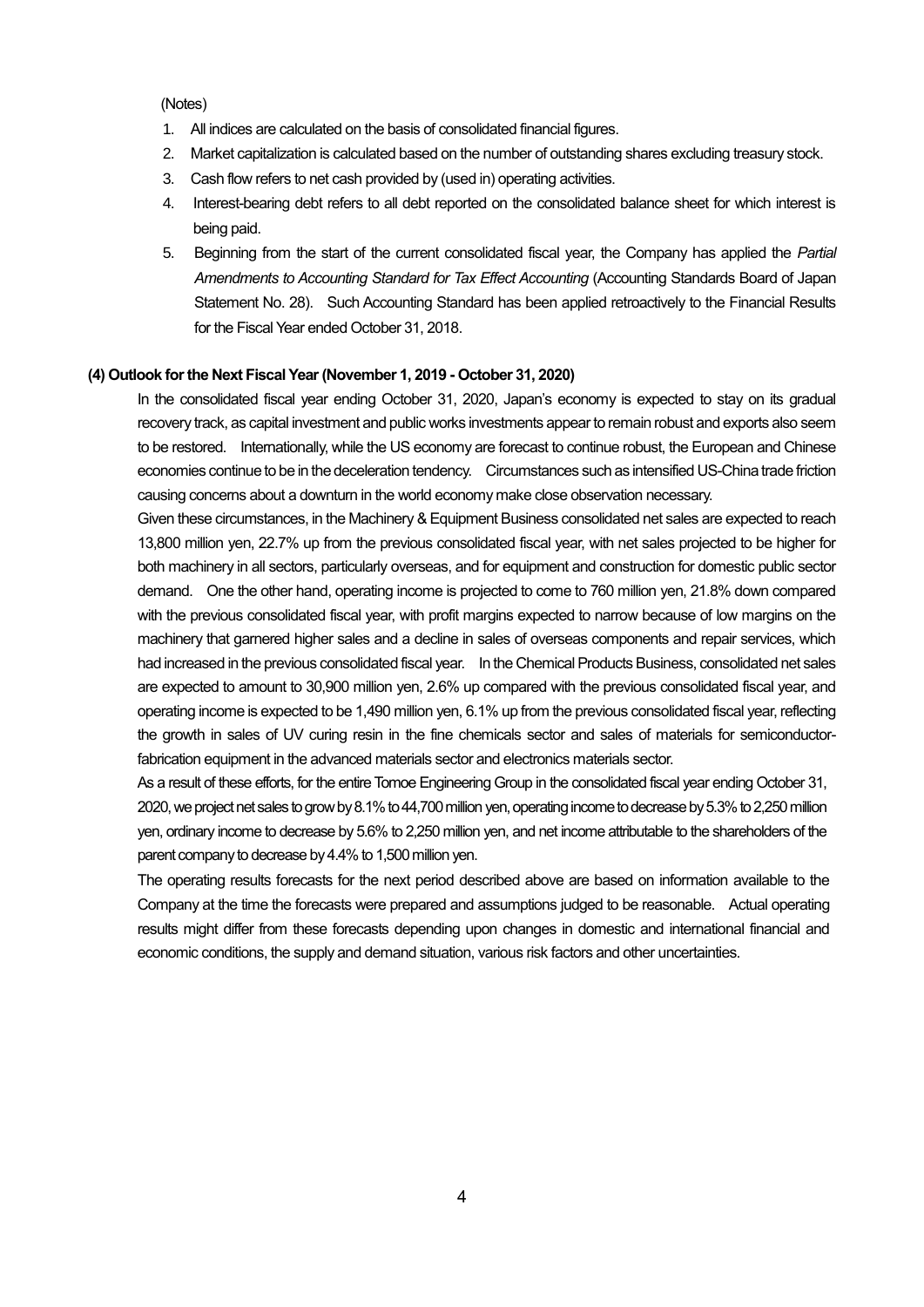#### (Notes)

- 1. All indices are calculated on the basis of consolidated financial figures.
- 2. Market capitalization is calculated based on the number of outstanding shares excluding treasury stock.
- 3. Cash flow refers to net cash provided by (used in) operating activities.
- 4. Interest-bearing debt refers to all debt reported on the consolidated balance sheet for which interest is being paid.
- 5. Beginning from the start of the current consolidated fiscal year, the Company has applied the *Partial Amendments to Accounting Standard for Tax Effect Accounting* (Accounting Standards Board of Japan Statement No. 28). Such Accounting Standard has been applied retroactively to the Financial Results for the Fiscal Year ended October 31, 2018.

#### **(4) Outlook for the Next Fiscal Year (November 1, 2019 - October 31, 2020)**

In the consolidated fiscal year ending October 31, 2020, Japan's economy is expected to stay on its gradual recovery track, as capital investment and public works investments appear to remain robust and exports also seem to be restored. Internationally, while the US economy are forecast to continue robust, the European and Chinese economies continue to be in the deceleration tendency. Circumstances such as intensified US-China trade friction causing concerns about a downturn in the world economy make close observation necessary.

Given these circumstances, in the Machinery & Equipment Business consolidated net sales are expected to reach 13,800 million yen, 22.7% up from the previous consolidated fiscal year, with net sales projected to be higher for both machinery in all sectors, particularly overseas, and for equipment and construction for domestic public sector demand. One the other hand, operating income is projected to come to 760 million yen, 21.8% down compared with the previous consolidated fiscal year, with profit margins expected to narrow because of low margins on the machinery that garnered higher sales and a decline in sales of overseas components and repair services, which had increased in the previous consolidated fiscal year. In the Chemical Products Business, consolidated net sales are expected to amount to 30,900 million yen, 2.6% up compared with the previous consolidated fiscal year, and operating income is expected to be 1,490 million yen, 6.1% up from the previous consolidated fiscal year, reflecting the growth in sales of UV curing resin in the fine chemicals sector and sales of materials for semiconductorfabrication equipment in the advanced materials sector and electronics materials sector.

As a result of these efforts, for the entire Tomoe Engineering Group in the consolidated fiscal year ending October 31, 2020, we project net sales to grow by 8.1% to 44,700 million yen, operating income to decrease by 5.3% to 2,250 million yen, ordinary income to decrease by 5.6% to 2,250 million yen, and net income attributable to the shareholders of the parent company to decrease by 4.4% to 1,500million yen.

The operating results forecasts for the next period described above are based on information available to the Company at the time the forecasts were prepared and assumptions judged to be reasonable. Actual operating results might differ from these forecasts depending upon changes in domestic and international financial and economic conditions, the supply and demand situation, various risk factors and other uncertainties.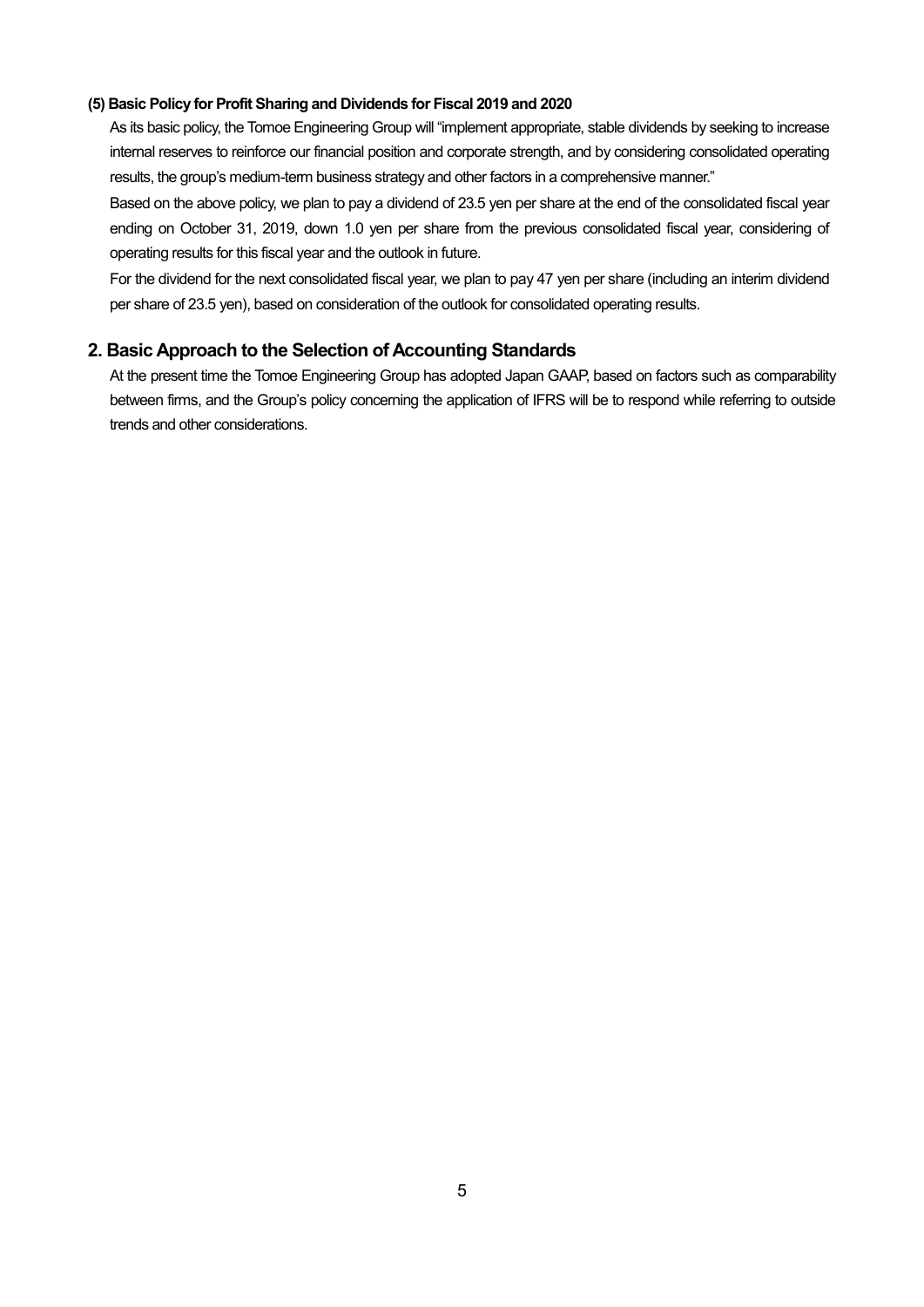### **(5) Basic Policy for Profit Sharing and Dividends for Fiscal 2019 and 2020**

As its basic policy, the Tomoe Engineering Group will "implement appropriate, stable dividends by seeking to increase internal reserves to reinforce our financial position and corporate strength, and by considering consolidated operating results, the group's medium-term business strategy and other factors in a comprehensive manner."

Based on the above policy, we plan to pay a dividend of 23.5 yen per share at the end of the consolidated fiscal year ending on October 31, 2019, down 1.0 yen per share from the previous consolidated fiscal year, considering of operating results for this fiscal year and the outlook in future.

For the dividend for the next consolidated fiscal year, we plan to pay 47 yen per share (including an interim dividend per share of 23.5 yen), based on consideration of the outlook for consolidated operating results.

## **2. Basic Approach to the Selection of Accounting Standards**

At the present time the Tomoe Engineering Group has adopted Japan GAAP, based on factors such as comparability between firms, and the Group's policy concerning the application of IFRS will be to respond while referring to outside trends and other considerations.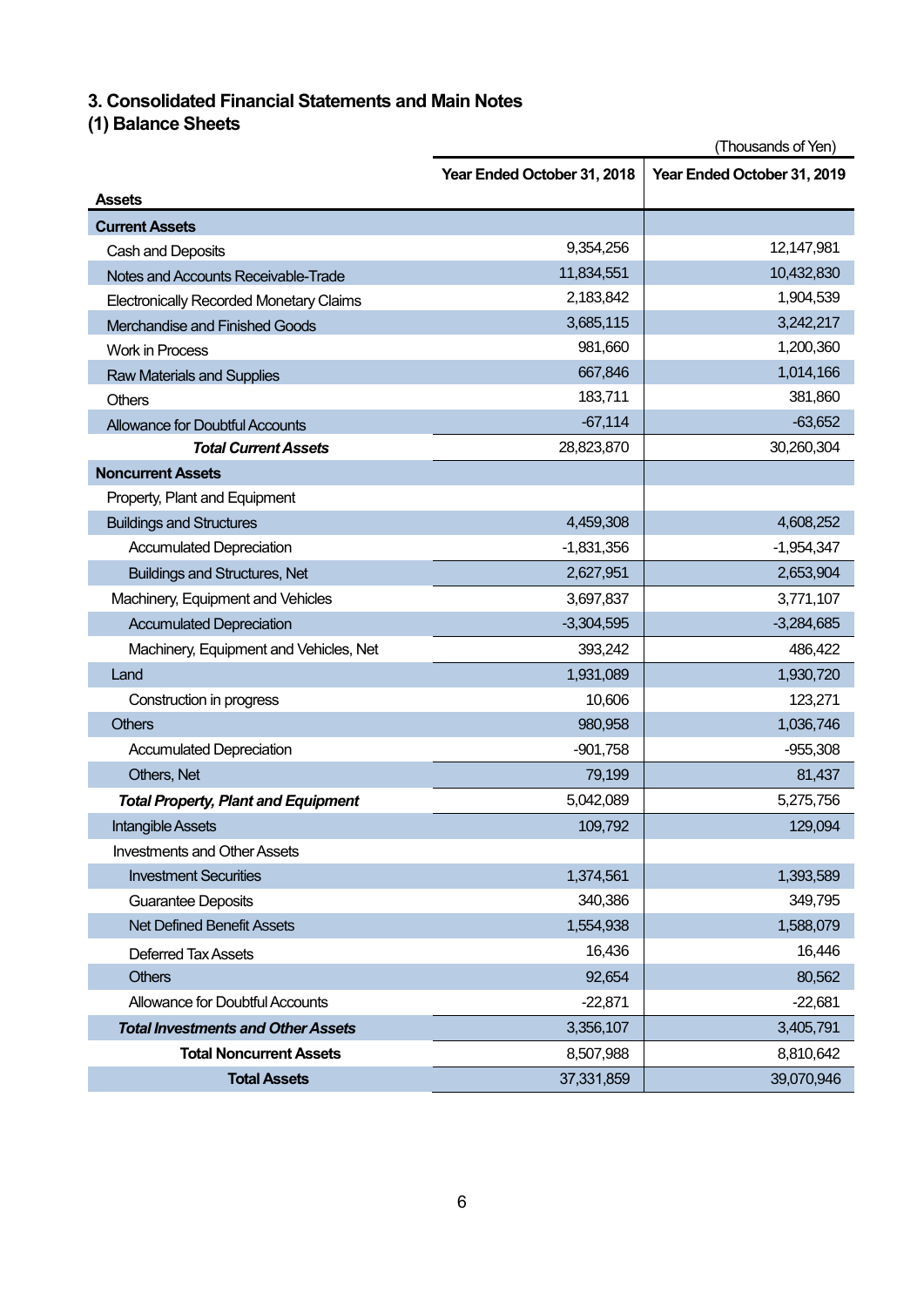# **3. Consolidated Financial Statements and Main Notes**

# **(1) Balance Sheets**

|                                                | (Thousands of Yen)          |                             |  |
|------------------------------------------------|-----------------------------|-----------------------------|--|
|                                                | Year Ended October 31, 2018 | Year Ended October 31, 2019 |  |
| <b>Assets</b>                                  |                             |                             |  |
| <b>Current Assets</b>                          |                             |                             |  |
| Cash and Deposits                              | 9,354,256                   | 12,147,981                  |  |
| Notes and Accounts Receivable-Trade            | 11,834,551                  | 10,432,830                  |  |
| <b>Electronically Recorded Monetary Claims</b> | 2,183,842                   | 1,904,539                   |  |
| Merchandise and Finished Goods                 | 3,685,115                   | 3,242,217                   |  |
| <b>Work in Process</b>                         | 981,660                     | 1,200,360                   |  |
| <b>Raw Materials and Supplies</b>              | 667,846                     | 1,014,166                   |  |
| Others                                         | 183,711                     | 381,860                     |  |
| <b>Allowance for Doubtful Accounts</b>         | $-67,114$                   | $-63,652$                   |  |
| <b>Total Current Assets</b>                    | 28,823,870                  | 30,260,304                  |  |
| <b>Noncurrent Assets</b>                       |                             |                             |  |
| Property, Plant and Equipment                  |                             |                             |  |
| <b>Buildings and Structures</b>                | 4,459,308                   | 4,608,252                   |  |
| <b>Accumulated Depreciation</b>                | $-1,831,356$                | $-1,954,347$                |  |
| <b>Buildings and Structures, Net</b>           | 2,627,951                   | 2,653,904                   |  |
| Machinery, Equipment and Vehicles              | 3,697,837                   | 3,771,107                   |  |
| <b>Accumulated Depreciation</b>                | $-3,304,595$                | $-3,284,685$                |  |
| Machinery, Equipment and Vehicles, Net         | 393,242                     | 486,422                     |  |
| Land                                           | 1,931,089                   | 1,930,720                   |  |
| Construction in progress                       | 10,606                      | 123,271                     |  |
| <b>Others</b>                                  | 980,958                     | 1,036,746                   |  |
| <b>Accumulated Depreciation</b>                | $-901,758$                  | $-955,308$                  |  |
| Others, Net                                    | 79,199                      | 81,437                      |  |
| <b>Total Property, Plant and Equipment</b>     | 5,042,089                   | 5,275,756                   |  |
| <b>Intangible Assets</b>                       | 109,792                     | 129,094                     |  |
| <b>Investments and Other Assets</b>            |                             |                             |  |
| <b>Investment Securities</b>                   | 1,374,561                   | 1,393,589                   |  |
| <b>Guarantee Deposits</b>                      | 340,386                     | 349,795                     |  |
| <b>Net Defined Benefit Assets</b>              | 1,554,938                   | 1,588,079                   |  |
| <b>Deferred Tax Assets</b>                     | 16,436                      | 16,446                      |  |
| <b>Others</b>                                  | 92,654                      | 80,562                      |  |
| Allowance for Doubtful Accounts                | $-22,871$                   | $-22,681$                   |  |
| <b>Total Investments and Other Assets</b>      | 3,356,107                   | 3,405,791                   |  |
| <b>Total Noncurrent Assets</b>                 | 8,507,988                   | 8,810,642                   |  |
| <b>Total Assets</b>                            | 37,331,859                  | 39,070,946                  |  |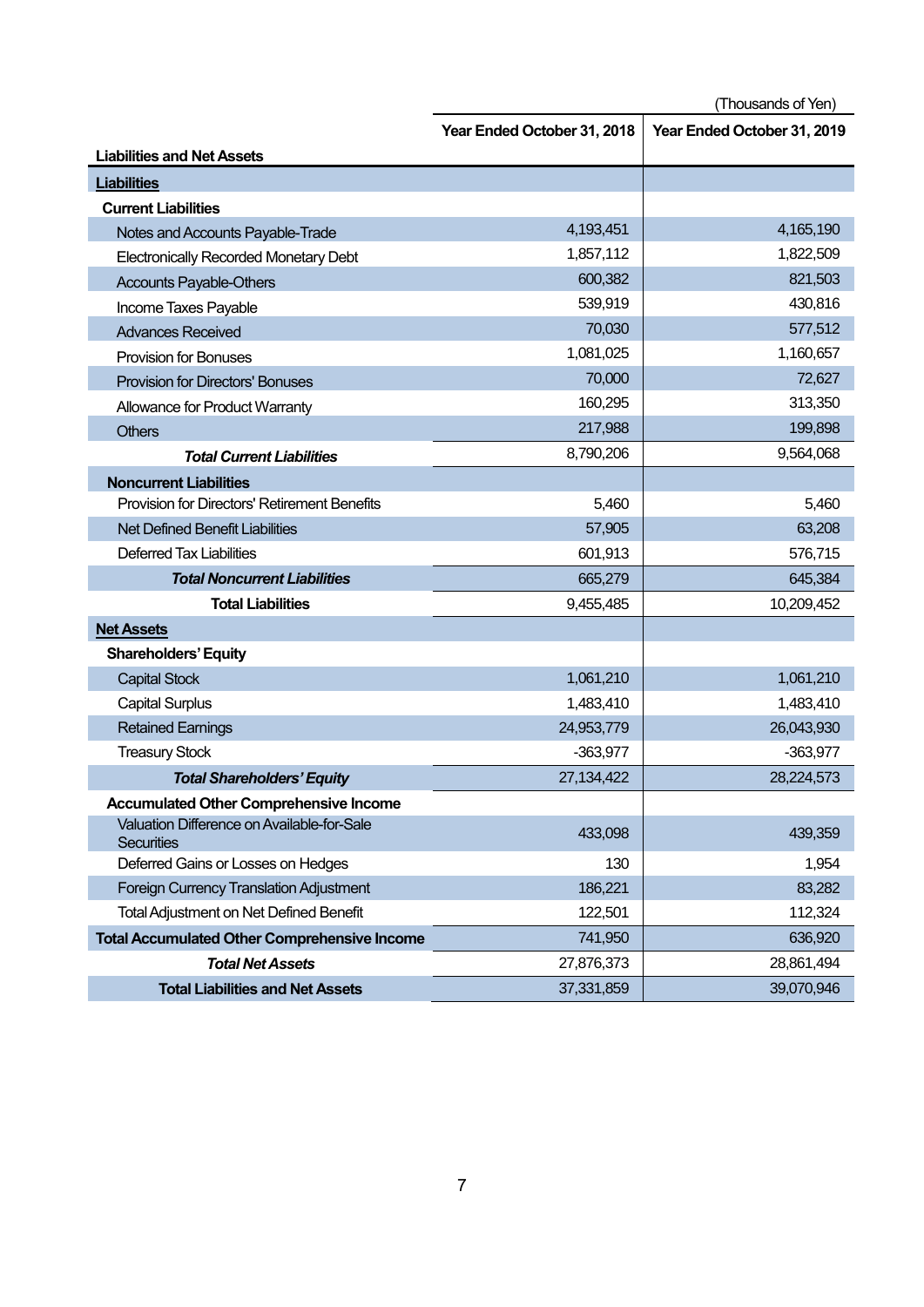(Thousands of Yen)

|                                                                 | Year Ended October 31, 2018 | Year Ended October 31, 2019 |
|-----------------------------------------------------------------|-----------------------------|-----------------------------|
| <b>Liabilities and Net Assets</b>                               |                             |                             |
| <b>Liabilities</b>                                              |                             |                             |
| <b>Current Liabilities</b>                                      |                             |                             |
| Notes and Accounts Payable-Trade                                | 4,193,451                   | 4,165,190                   |
| <b>Electronically Recorded Monetary Debt</b>                    | 1,857,112                   | 1,822,509                   |
| <b>Accounts Payable-Others</b>                                  | 600,382                     | 821,503                     |
| Income Taxes Payable                                            | 539,919                     | 430,816                     |
| <b>Advances Received</b>                                        | 70,030                      | 577,512                     |
| <b>Provision for Bonuses</b>                                    | 1,081,025                   | 1,160,657                   |
| <b>Provision for Directors' Bonuses</b>                         | 70,000                      | 72,627                      |
| Allowance for Product Warranty                                  | 160,295                     | 313,350                     |
| <b>Others</b>                                                   | 217,988                     | 199,898                     |
| <b>Total Current Liabilities</b>                                | 8,790,206                   | 9,564,068                   |
| <b>Noncurrent Liabilities</b>                                   |                             |                             |
| <b>Provision for Directors' Retirement Benefits</b>             | 5,460                       | 5,460                       |
| <b>Net Defined Benefit Liabilities</b>                          | 57,905                      | 63,208                      |
| <b>Deferred Tax Liabilities</b>                                 | 601,913                     | 576,715                     |
| <b>Total Noncurrent Liabilities</b>                             | 665,279                     | 645,384                     |
| <b>Total Liabilities</b>                                        | 9,455,485                   | 10,209,452                  |
| <b>Net Assets</b>                                               |                             |                             |
| <b>Shareholders' Equity</b>                                     |                             |                             |
| <b>Capital Stock</b>                                            | 1,061,210                   | 1,061,210                   |
| <b>Capital Surplus</b>                                          | 1,483,410                   | 1,483,410                   |
| <b>Retained Earnings</b>                                        | 24,953,779                  | 26,043,930                  |
| <b>Treasury Stock</b>                                           | $-363,977$                  | $-363,977$                  |
| <b>Total Shareholders' Equity</b>                               | 27, 134, 422                | 28,224,573                  |
| <b>Accumulated Other Comprehensive Income</b>                   |                             |                             |
| Valuation Difference on Available-for-Sale<br><b>Securities</b> | 433,098                     | 439,359                     |
| Deferred Gains or Losses on Hedges                              | 130                         | 1,954                       |
| Foreign Currency Translation Adjustment                         | 186,221                     | 83,282                      |
| <b>Total Adjustment on Net Defined Benefit</b>                  | 122,501                     | 112,324                     |
| <b>Total Accumulated Other Comprehensive Income</b>             | 741,950                     | 636,920                     |
| <b>Total Net Assets</b>                                         | 27,876,373                  | 28,861,494                  |
| <b>Total Liabilities and Net Assets</b>                         | 37,331,859                  | 39,070,946                  |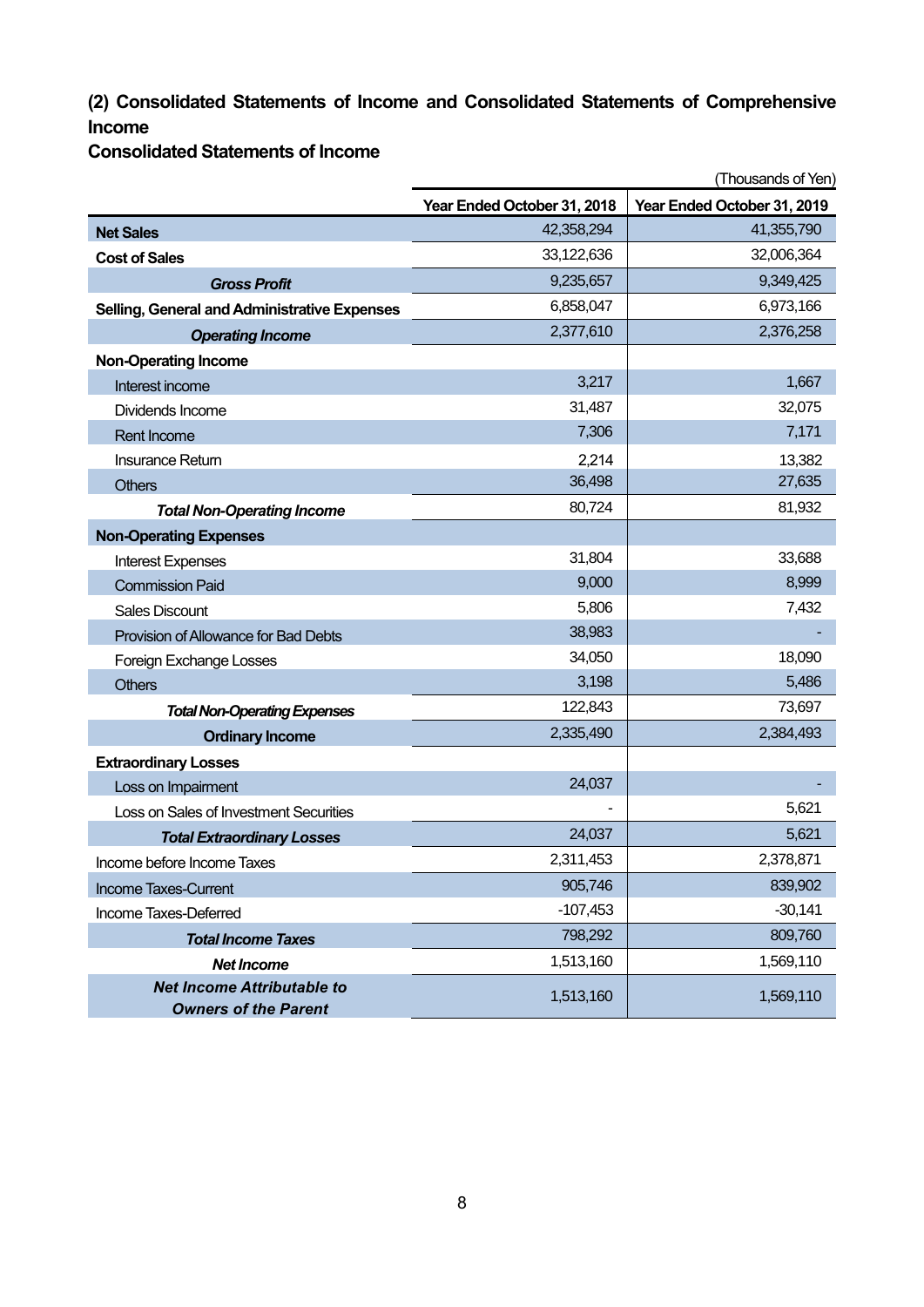# **(2) Consolidated Statements of Income and Consolidated Statements of Comprehensive Income**

**Consolidated Statements of Income**

|                                                                  | (Thousands of Yen)          |                             |  |
|------------------------------------------------------------------|-----------------------------|-----------------------------|--|
|                                                                  | Year Ended October 31, 2018 | Year Ended October 31, 2019 |  |
| <b>Net Sales</b>                                                 | 42,358,294                  | 41,355,790                  |  |
| <b>Cost of Sales</b>                                             | 33,122,636                  | 32,006,364                  |  |
| <b>Gross Profit</b>                                              | 9,235,657                   | 9,349,425                   |  |
| <b>Selling, General and Administrative Expenses</b>              | 6,858,047                   | 6,973,166                   |  |
| <b>Operating Income</b>                                          | 2,377,610                   | 2,376,258                   |  |
| <b>Non-Operating Income</b>                                      |                             |                             |  |
| Interest income                                                  | 3,217                       | 1,667                       |  |
| Dividends Income                                                 | 31,487                      | 32,075                      |  |
| <b>Rent Income</b>                                               | 7,306                       | 7,171                       |  |
| <b>Insurance Return</b>                                          | 2,214                       | 13,382                      |  |
| <b>Others</b>                                                    | 36,498                      | 27,635                      |  |
| <b>Total Non-Operating Income</b>                                | 80,724                      | 81,932                      |  |
| <b>Non-Operating Expenses</b>                                    |                             |                             |  |
| <b>Interest Expenses</b>                                         | 31,804                      | 33,688                      |  |
| <b>Commission Paid</b>                                           | 9,000                       | 8,999                       |  |
| <b>Sales Discount</b>                                            | 5,806                       | 7,432                       |  |
| Provision of Allowance for Bad Debts                             | 38,983                      |                             |  |
| Foreign Exchange Losses                                          | 34,050                      | 18,090                      |  |
| <b>Others</b>                                                    | 3,198                       | 5,486                       |  |
| <b>Total Non-Operating Expenses</b>                              | 122,843                     | 73,697                      |  |
| <b>Ordinary Income</b>                                           | 2,335,490                   | 2,384,493                   |  |
| <b>Extraordinary Losses</b>                                      |                             |                             |  |
| Loss on Impairment                                               | 24,037                      |                             |  |
| Loss on Sales of Investment Securities                           |                             | 5,621                       |  |
| <b>Total Extraordinary Losses</b>                                | 24,037                      | 5,621                       |  |
| Income before Income Taxes                                       | 2,311,453                   | 2,378,871                   |  |
| Income Taxes-Current                                             | 905,746                     | 839,902                     |  |
| Income Taxes-Deferred                                            | $-107,453$                  | $-30,141$                   |  |
| <b>Total Income Taxes</b>                                        | 798,292                     | 809,760                     |  |
| <b>Net Income</b>                                                | 1,513,160                   | 1,569,110                   |  |
| <b>Net Income Attributable to</b><br><b>Owners of the Parent</b> | 1,513,160                   | 1,569,110                   |  |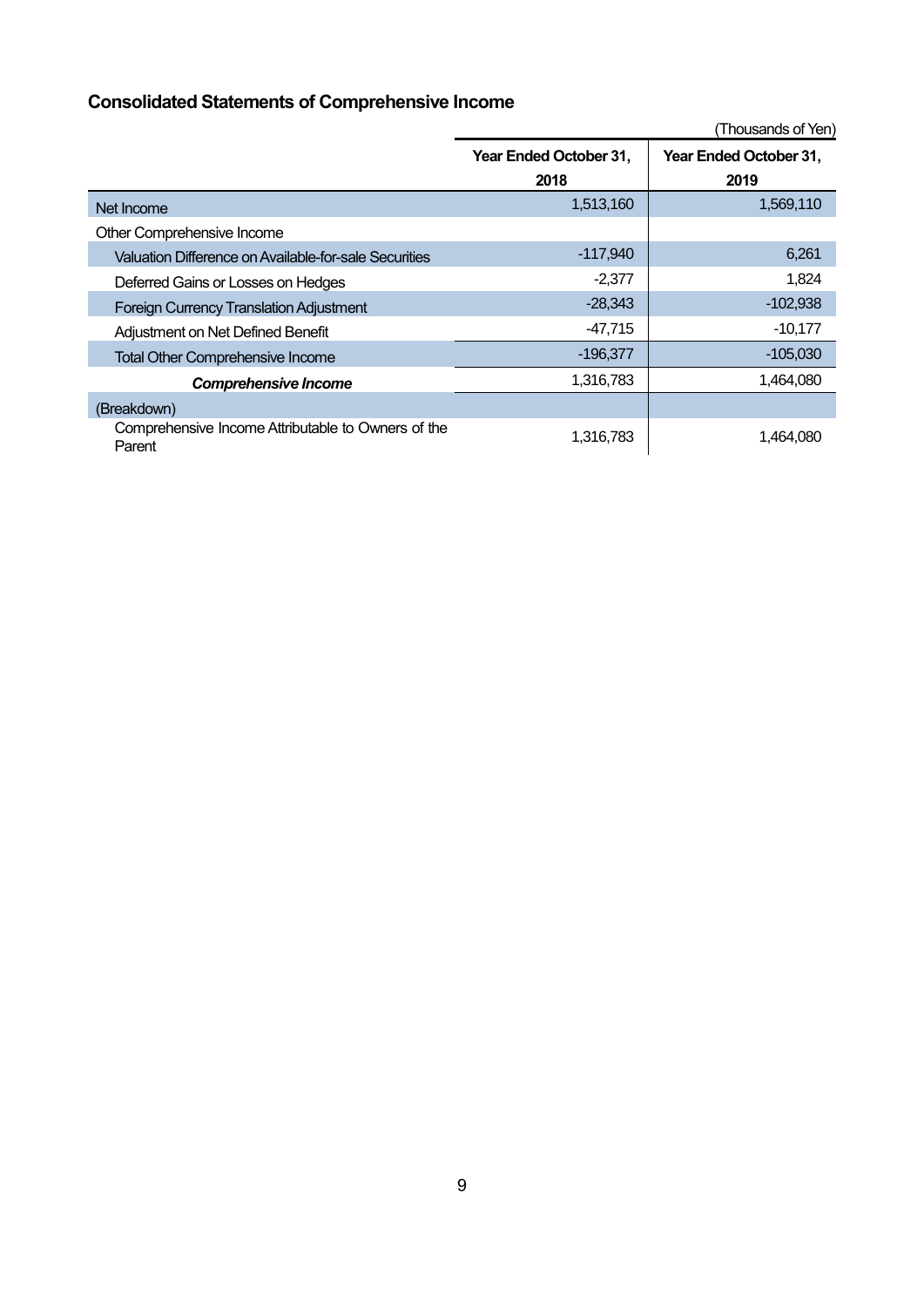# **Consolidated Statements of Comprehensive Income**

|                                                              |                        | (Thousands of Yen)     |
|--------------------------------------------------------------|------------------------|------------------------|
|                                                              | Year Ended October 31, | Year Ended October 31, |
|                                                              | 2018                   | 2019                   |
| Net Income                                                   | 1,513,160              | 1,569,110              |
| Other Comprehensive Income                                   |                        |                        |
| Valuation Difference on Available-for-sale Securities        | $-117,940$             | 6,261                  |
| Deferred Gains or Losses on Hedges                           | $-2,377$               | 1,824                  |
| <b>Foreign Currency Translation Adjustment</b>               | $-28,343$              | $-102,938$             |
| Adjustment on Net Defined Benefit                            | $-47,715$              | $-10,177$              |
| <b>Total Other Comprehensive Income</b>                      | $-196,377$             | $-105,030$             |
| <b>Comprehensive Income</b>                                  | 1,316,783              | 1,464,080              |
| (Breakdown)                                                  |                        |                        |
| Comprehensive Income Attributable to Owners of the<br>Parent | 1,316,783              | 1,464,080              |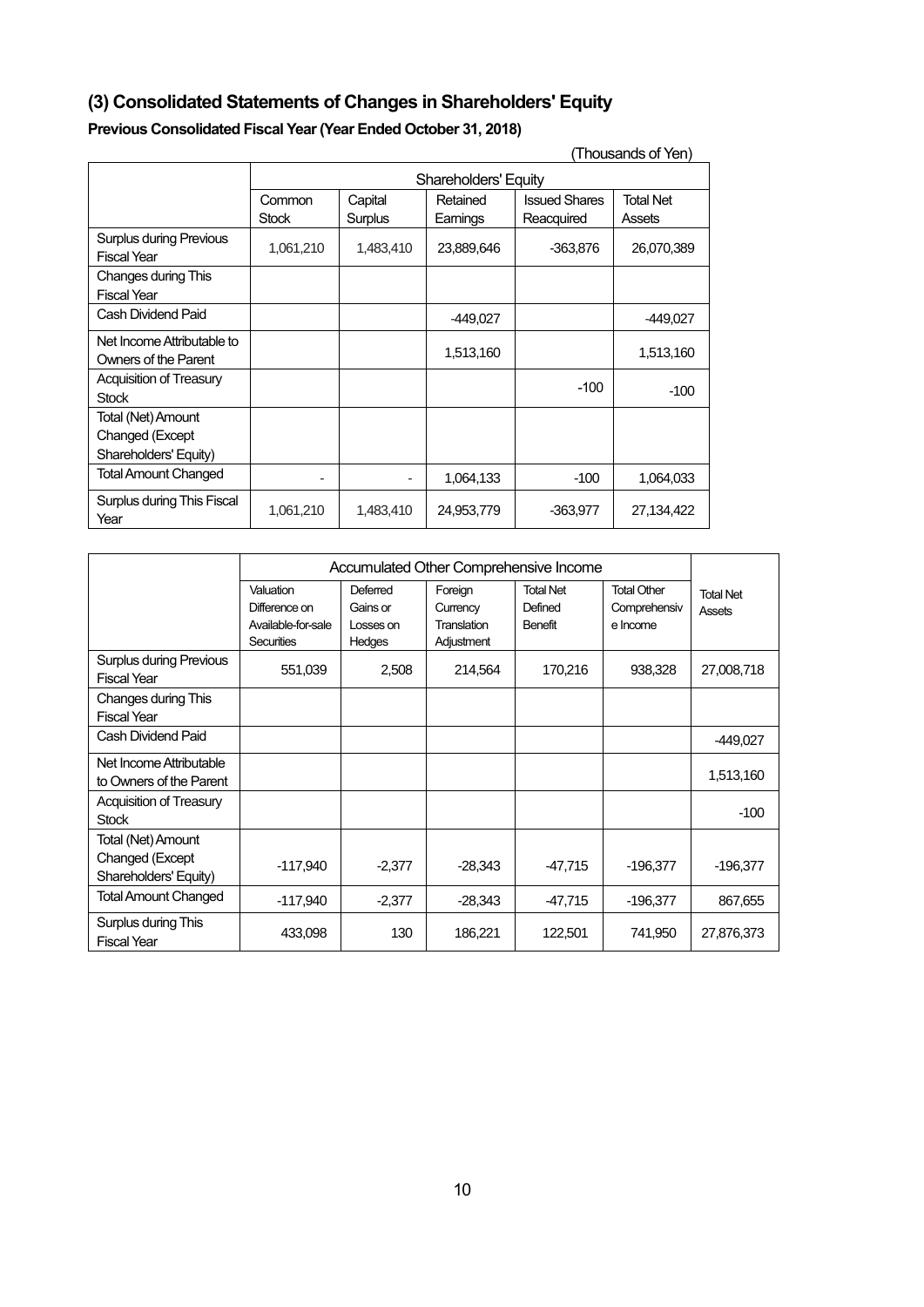# **(3) Consolidated Statements of Changes in Shareholders' Equity**

# **Previous Consolidated Fiscal Year (Year Ended October 31, 2018)**

| (Thousands of Yen)                                             |           |                                                                 |            |            |            |
|----------------------------------------------------------------|-----------|-----------------------------------------------------------------|------------|------------|------------|
|                                                                |           | <b>Shareholders' Equity</b>                                     |            |            |            |
|                                                                | Common    | <b>Issued Shares</b><br><b>Total Net</b><br>Capital<br>Retained |            |            |            |
|                                                                | Stock     | Surplus                                                         | Earnings   | Reacquired | Assets     |
| <b>Surplus during Previous</b><br><b>Fiscal Year</b>           | 1,061,210 | 1,483,410                                                       | 23,889,646 | $-363,876$ | 26,070,389 |
| Changes during This<br><b>Fiscal Year</b>                      |           |                                                                 |            |            |            |
| Cash Dividend Paid                                             |           |                                                                 | -449,027   |            | -449,027   |
| Net Income Attributable to<br>Owners of the Parent             |           |                                                                 | 1,513,160  |            | 1,513,160  |
| <b>Acquisition of Treasury</b><br><b>Stock</b>                 |           |                                                                 |            | $-100$     | $-100$     |
| Total (Net) Amount<br>Changed (Except<br>Shareholders' Equity) |           |                                                                 |            |            |            |
| <b>Total Amount Changed</b>                                    |           |                                                                 | 1,064,133  | $-100$     | 1,064,033  |
| Surplus during This Fiscal<br>Year                             | 1,061,210 | 1,483,410                                                       | 24,953,779 | $-363,977$ | 27,134,422 |

|                                                                | Accumulated Other Comprehensive Income                                |                                             |                                                  |                                        |                                                |                            |
|----------------------------------------------------------------|-----------------------------------------------------------------------|---------------------------------------------|--------------------------------------------------|----------------------------------------|------------------------------------------------|----------------------------|
|                                                                | Valuation<br>Difference on<br>Available-for-sale<br><b>Securities</b> | Deferred<br>Gains or<br>Losses on<br>Hedges | Foreign<br>Currency<br>Translation<br>Adjustment | <b>Total Net</b><br>Defined<br>Benefit | <b>Total Other</b><br>Comprehensiv<br>e Income | <b>Total Net</b><br>Assets |
| <b>Surplus during Previous</b><br><b>Fiscal Year</b>           | 551,039                                                               | 2,508                                       | 214,564                                          | 170,216                                | 938,328                                        | 27,008,718                 |
| Changes during This<br><b>Fiscal Year</b>                      |                                                                       |                                             |                                                  |                                        |                                                |                            |
| Cash Dividend Paid                                             |                                                                       |                                             |                                                  |                                        |                                                | $-449,027$                 |
| Net Income Attributable<br>to Owners of the Parent             |                                                                       |                                             |                                                  |                                        |                                                | 1,513,160                  |
| Acquisition of Treasury<br><b>Stock</b>                        |                                                                       |                                             |                                                  |                                        |                                                | $-100$                     |
| Total (Net) Amount<br>Changed (Except<br>Shareholders' Equity) | $-117,940$                                                            | $-2,377$                                    | $-28,343$                                        | -47,715                                | $-196,377$                                     | $-196,377$                 |
| <b>Total Amount Changed</b>                                    | $-117,940$                                                            | $-2,377$                                    | $-28,343$                                        | -47,715                                | $-196,377$                                     | 867,655                    |
| Surplus during This<br><b>Fiscal Year</b>                      | 433,098                                                               | 130                                         | 186,221                                          | 122,501                                | 741,950                                        | 27,876,373                 |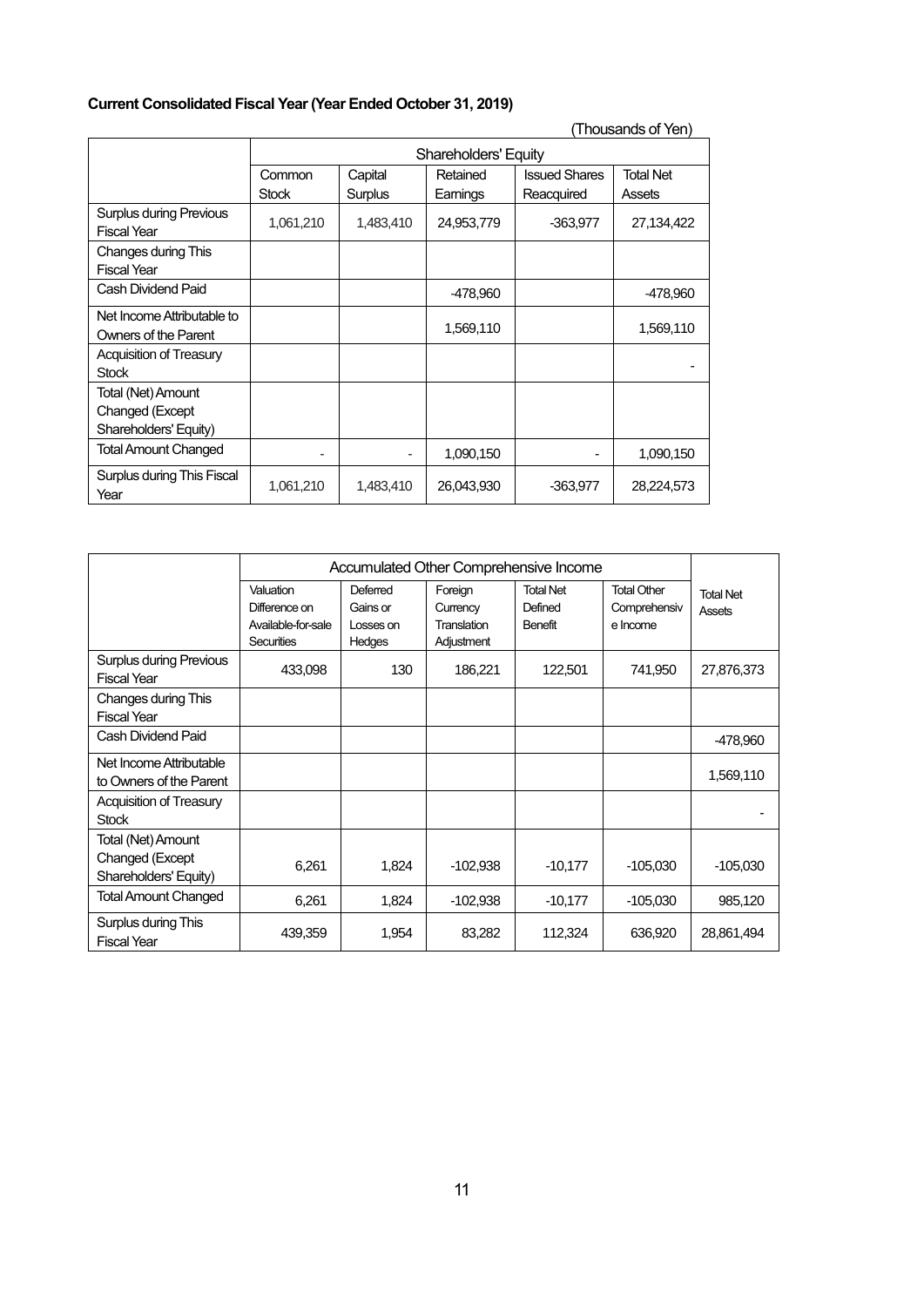# **Current Consolidated Fiscal Year (Year Ended October 31, 2019)**

| (Thousands of Yen)                                   |              |                                                                 |            |            |            |
|------------------------------------------------------|--------------|-----------------------------------------------------------------|------------|------------|------------|
|                                                      |              | <b>Shareholders' Equity</b>                                     |            |            |            |
|                                                      | Common       | <b>Issued Shares</b><br><b>Total Net</b><br>Capital<br>Retained |            |            |            |
|                                                      | <b>Stock</b> | Surplus                                                         | Earnings   | Reacquired | Assets     |
| <b>Surplus during Previous</b><br><b>Fiscal Year</b> | 1,061,210    | 1,483,410                                                       | 24,953,779 | $-363,977$ | 27,134,422 |
| Changes during This                                  |              |                                                                 |            |            |            |
| <b>Fiscal Year</b>                                   |              |                                                                 |            |            |            |
| Cash Dividend Paid                                   |              |                                                                 | -478,960   |            | -478,960   |
| Net Income Attributable to                           |              |                                                                 |            |            |            |
| Owners of the Parent                                 |              |                                                                 | 1,569,110  |            | 1,569,110  |
| <b>Acquisition of Treasury</b>                       |              |                                                                 |            |            |            |
| <b>Stock</b>                                         |              |                                                                 |            |            |            |
| Total (Net) Amount                                   |              |                                                                 |            |            |            |
| Changed (Except                                      |              |                                                                 |            |            |            |
| Shareholders' Equity)                                |              |                                                                 |            |            |            |
| Total Amount Changed                                 |              |                                                                 | 1,090,150  |            | 1,090,150  |
| Surplus during This Fiscal<br>Year                   | 1,061,210    | 1,483,410                                                       | 26,043,930 | $-363,977$ | 28,224,573 |

|                                                                | Accumulated Other Comprehensive Income                         |                                             |                                                  |                                               |                                                |                            |
|----------------------------------------------------------------|----------------------------------------------------------------|---------------------------------------------|--------------------------------------------------|-----------------------------------------------|------------------------------------------------|----------------------------|
|                                                                | Valuation<br>Difference on<br>Available-for-sale<br>Securities | Deferred<br>Gains or<br>Losses on<br>Hedges | Foreign<br>Currency<br>Translation<br>Adjustment | <b>Total Net</b><br>Defined<br><b>Benefit</b> | <b>Total Other</b><br>Comprehensiv<br>e Income | <b>Total Net</b><br>Assets |
| <b>Surplus during Previous</b><br><b>Fiscal Year</b>           | 433,098                                                        | 130                                         | 186,221                                          | 122,501                                       | 741,950                                        | 27,876,373                 |
| Changes during This<br><b>Fiscal Year</b>                      |                                                                |                                             |                                                  |                                               |                                                |                            |
| Cash Dividend Paid                                             |                                                                |                                             |                                                  |                                               |                                                | -478,960                   |
| Net Income Attributable<br>to Owners of the Parent             |                                                                |                                             |                                                  |                                               |                                                | 1,569,110                  |
| Acquisition of Treasury<br><b>Stock</b>                        |                                                                |                                             |                                                  |                                               |                                                |                            |
| Total (Net) Amount<br>Changed (Except<br>Shareholders' Equity) | 6,261                                                          | 1,824                                       | $-102,938$                                       | $-10,177$                                     | $-105,030$                                     | $-105,030$                 |
| <b>Total Amount Changed</b>                                    | 6,261                                                          | 1,824                                       | $-102,938$                                       | $-10,177$                                     | $-105,030$                                     | 985,120                    |
| Surplus during This<br><b>Fiscal Year</b>                      | 439,359                                                        | 1,954                                       | 83,282                                           | 112,324                                       | 636,920                                        | 28,861,494                 |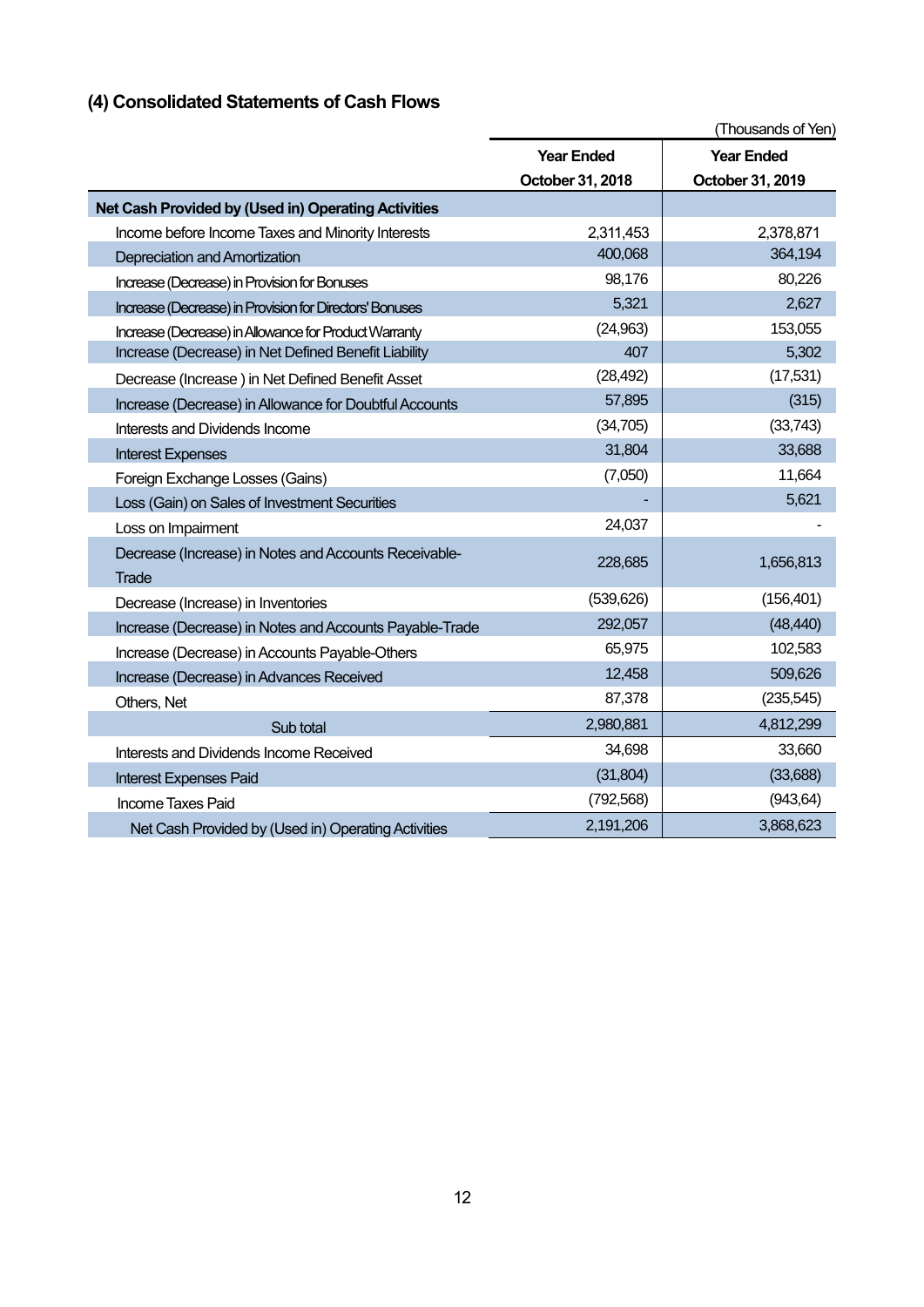# **(4) Consolidated Statements of Cash Flows**

|                                                         |                   | (Thousands of Yen) |
|---------------------------------------------------------|-------------------|--------------------|
|                                                         | <b>Year Ended</b> | <b>Year Ended</b>  |
|                                                         | October 31, 2018  | October 31, 2019   |
| Net Cash Provided by (Used in) Operating Activities     |                   |                    |
| Income before Income Taxes and Minority Interests       | 2,311,453         | 2,378,871          |
| Depreciation and Amortization                           | 400,068           | 364,194            |
| Increase (Decrease) in Provision for Bonuses            | 98,176            | 80,226             |
| Increase (Decrease) in Provision for Directors' Bonuses | 5,321             | 2,627              |
| Increase (Decrease) in Allowance for Product Warranty   | (24, 963)         | 153,055            |
| Increase (Decrease) in Net Defined Benefit Liability    | 407               | 5,302              |
| Decrease (Increase) in Net Defined Benefit Asset        | (28, 492)         | (17,531)           |
| Increase (Decrease) in Allowance for Doubtful Accounts  | 57,895            | (315)              |
| Interests and Dividends Income                          | (34, 705)         | (33,743)           |
| <b>Interest Expenses</b>                                | 31,804            | 33,688             |
| Foreign Exchange Losses (Gains)                         | (7,050)           | 11,664             |
| Loss (Gain) on Sales of Investment Securities           |                   | 5,621              |
| Loss on Impairment                                      | 24,037            |                    |
| Decrease (Increase) in Notes and Accounts Receivable-   | 228,685           | 1,656,813          |
| Trade                                                   |                   |                    |
| Decrease (Increase) in Inventories                      | (539, 626)        | (156, 401)         |
| Increase (Decrease) in Notes and Accounts Payable-Trade | 292,057           | (48, 440)          |
| Increase (Decrease) in Accounts Payable-Others          | 65,975            | 102,583            |
| Increase (Decrease) in Advances Received                | 12,458            | 509,626            |
| Others, Net                                             | 87,378            | (235, 545)         |
| Sub total                                               | 2,980,881         | 4,812,299          |
| Interests and Dividends Income Received                 | 34,698            | 33,660             |
| <b>Interest Expenses Paid</b>                           | (31, 804)         | (33,688)           |
| <b>Income Taxes Paid</b>                                | (792, 568)        | (943, 64)          |
| Net Cash Provided by (Used in) Operating Activities     | 2,191,206         | 3,868,623          |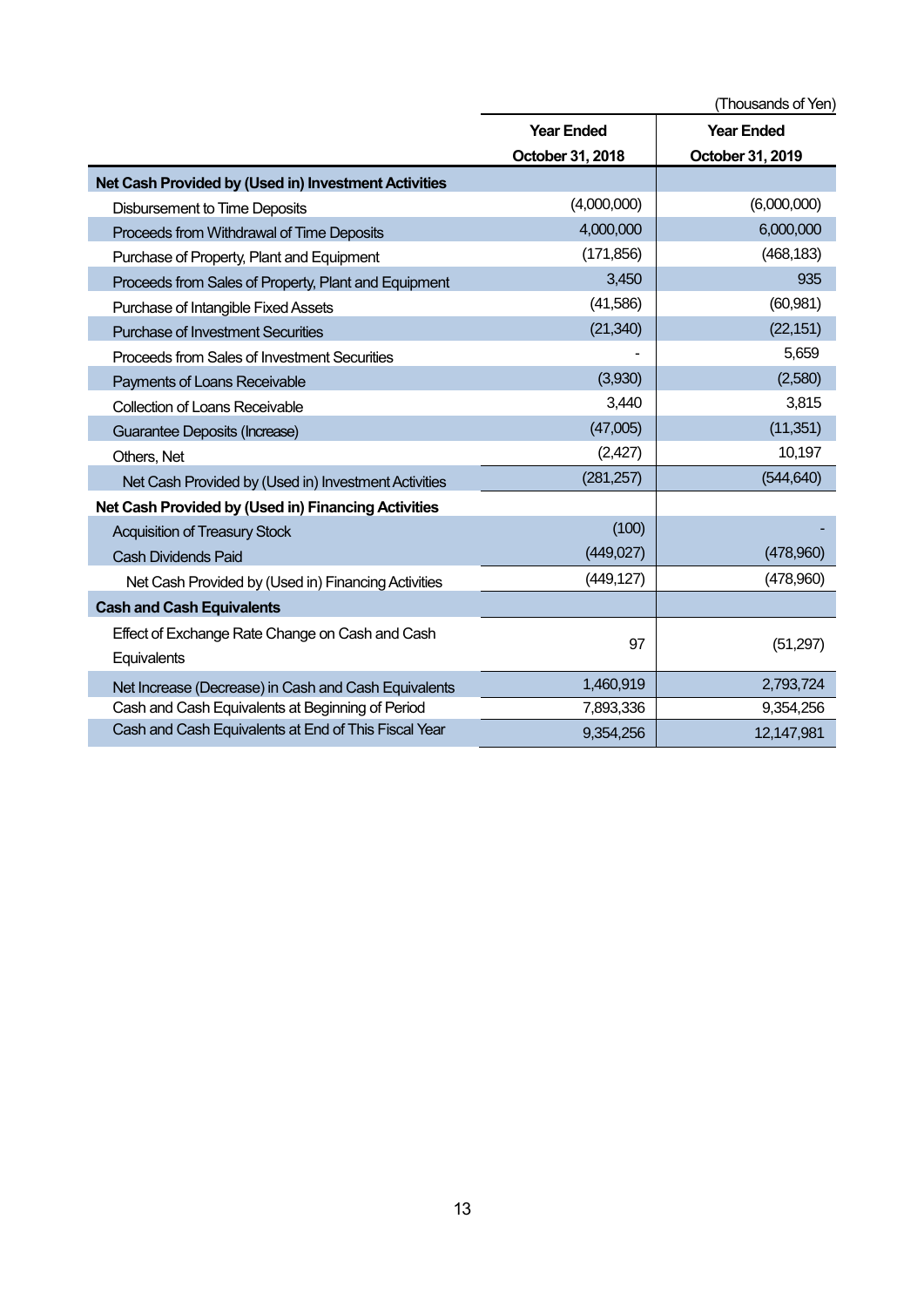|                                                                |                   | (Thousands of Yen) |
|----------------------------------------------------------------|-------------------|--------------------|
|                                                                | <b>Year Ended</b> | <b>Year Ended</b>  |
|                                                                | October 31, 2018  | October 31, 2019   |
| Net Cash Provided by (Used in) Investment Activities           |                   |                    |
| <b>Disbursement to Time Deposits</b>                           | (4,000,000)       | (6,000,000)        |
| Proceeds from Withdrawal of Time Deposits                      | 4,000,000         | 6,000,000          |
| Purchase of Property, Plant and Equipment                      | (171, 856)        | (468, 183)         |
| Proceeds from Sales of Property, Plant and Equipment           | 3,450             | 935                |
| Purchase of Intangible Fixed Assets                            | (41,586)          | (60, 981)          |
| <b>Purchase of Investment Securities</b>                       | (21, 340)         | (22, 151)          |
| Proceeds from Sales of Investment Securities                   |                   | 5,659              |
| Payments of Loans Receivable                                   | (3,930)           | (2,580)            |
| <b>Collection of Loans Receivable</b>                          | 3,440             | 3,815              |
| Guarantee Deposits (Increase)                                  | (47,005)          | (11, 351)          |
| Others, Net                                                    | (2, 427)          | 10,197             |
| Net Cash Provided by (Used in) Investment Activities           | (281, 257)        | (544, 640)         |
| Net Cash Provided by (Used in) Financing Activities            |                   |                    |
| <b>Acquisition of Treasury Stock</b>                           | (100)             |                    |
| <b>Cash Dividends Paid</b>                                     | (449, 027)        | (478,960)          |
| Net Cash Provided by (Used in) Financing Activities            | (449, 127)        | (478,960)          |
| <b>Cash and Cash Equivalents</b>                               |                   |                    |
| Effect of Exchange Rate Change on Cash and Cash<br>Equivalents | 97                | (51, 297)          |
| Net Increase (Decrease) in Cash and Cash Equivalents           | 1,460,919         | 2,793,724          |
| Cash and Cash Equivalents at Beginning of Period               | 7,893,336         | 9,354,256          |
| Cash and Cash Equivalents at End of This Fiscal Year           | 9,354,256         | 12,147,981         |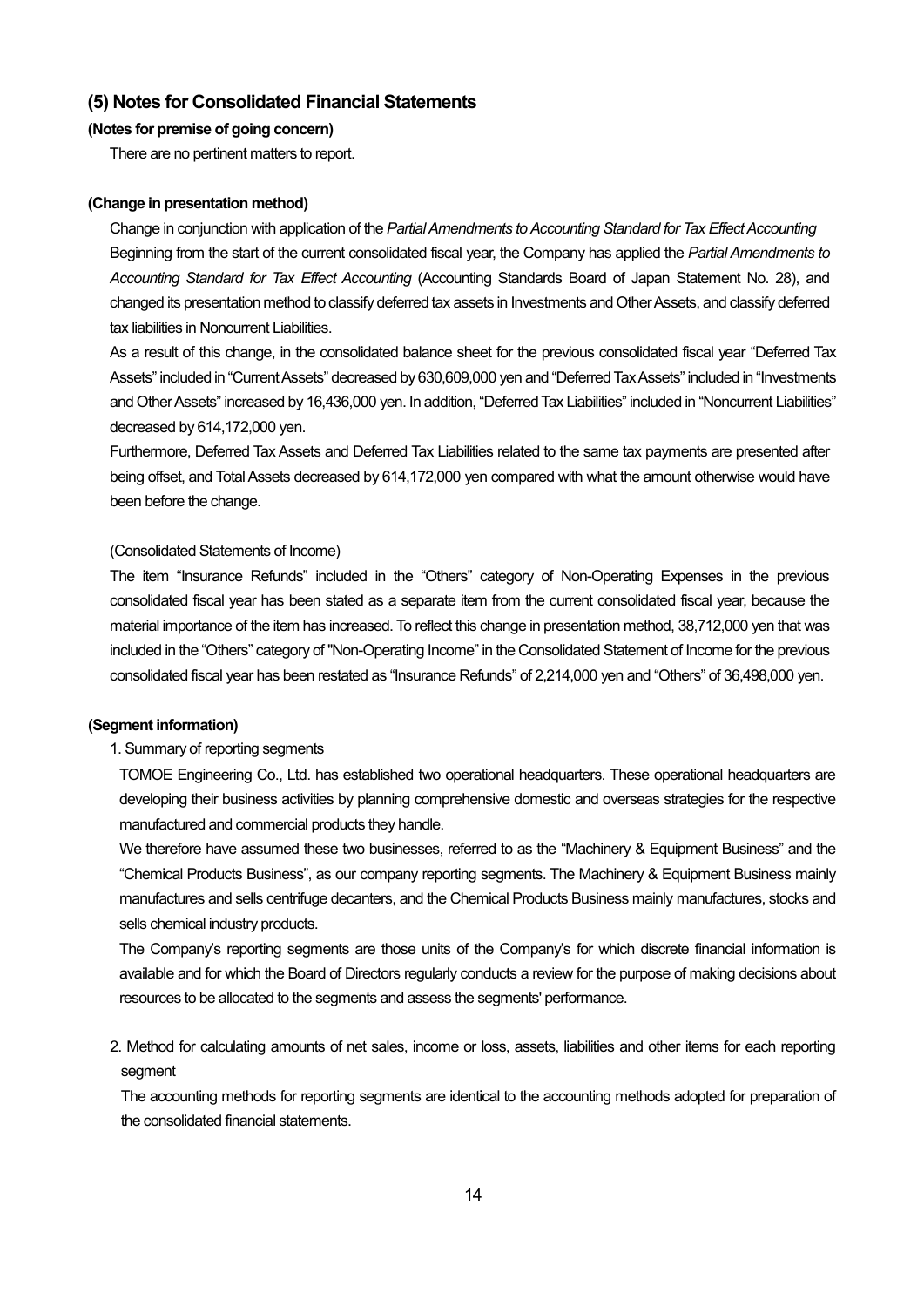# **(5) Notes for Consolidated Financial Statements**

### **(Notes for premise of going concern)**

There are no pertinent matters to report.

#### **(Change in presentation method)**

Change in conjunction with application of the *Partial Amendments to Accounting Standard for Tax Effect Accounting* Beginning from the start of the current consolidated fiscal year, the Company has applied the *Partial Amendments to Accounting Standard for Tax Effect Accounting* (Accounting Standards Board of Japan Statement No. 28), and changed its presentation method to classify deferred tax assets in Investments and Other Assets, and classify deferred tax liabilities in Noncurrent Liabilities.

As a result of this change, in the consolidated balance sheet for the previous consolidated fiscal year "Deferred Tax Assets" included in "Current Assets" decreased by 630,609,000 yen and "Deferred Tax Assets" included in "Investments and Other Assets" increased by 16,436,000 yen. In addition, "Deferred Tax Liabilities" included in "Noncurrent Liabilities" decreased by 614,172,000 yen.

Furthermore, Deferred Tax Assets and Deferred Tax Liabilities related to the same tax payments are presented after being offset, and Total Assets decreased by 614,172,000 yen compared with what the amount otherwise would have been before the change.

### (Consolidated Statements of Income)

The item "Insurance Refunds" included in the "Others" category of Non-Operating Expenses in the previous consolidated fiscal year has been stated as a separate item from the current consolidated fiscal year, because the material importance of the item has increased. To reflect this change in presentation method, 38,712,000 yen that was included in the "Others" category of "Non-Operating Income" in the Consolidated Statement of Income for the previous consolidated fiscal year has been restated as "Insurance Refunds" of 2,214,000 yen and "Others" of 36,498,000 yen.

### **(Segment information)**

### 1. Summary of reporting segments

TOMOE Engineering Co., Ltd. has established two operational headquarters. These operational headquarters are developing their business activities by planning comprehensive domestic and overseas strategies for the respective manufactured and commercial products they handle.

We therefore have assumed these two businesses, referred to as the "Machinery & Equipment Business" and the "Chemical Products Business", as our company reporting segments. The Machinery & Equipment Business mainly manufactures and sells centrifuge decanters, and the Chemical Products Business mainly manufactures, stocks and sells chemical industry products.

The Company's reporting segments are those units of the Company's for which discrete financial information is available and for which the Board of Directors regularly conducts a review for the purpose of making decisions about resources to be allocated to the segments and assess the segments' performance.

2. Method for calculating amounts of net sales, income or loss, assets, liabilities and other items for each reporting segment

The accounting methods for reporting segments are identical to the accounting methods adopted for preparation of the consolidated financial statements.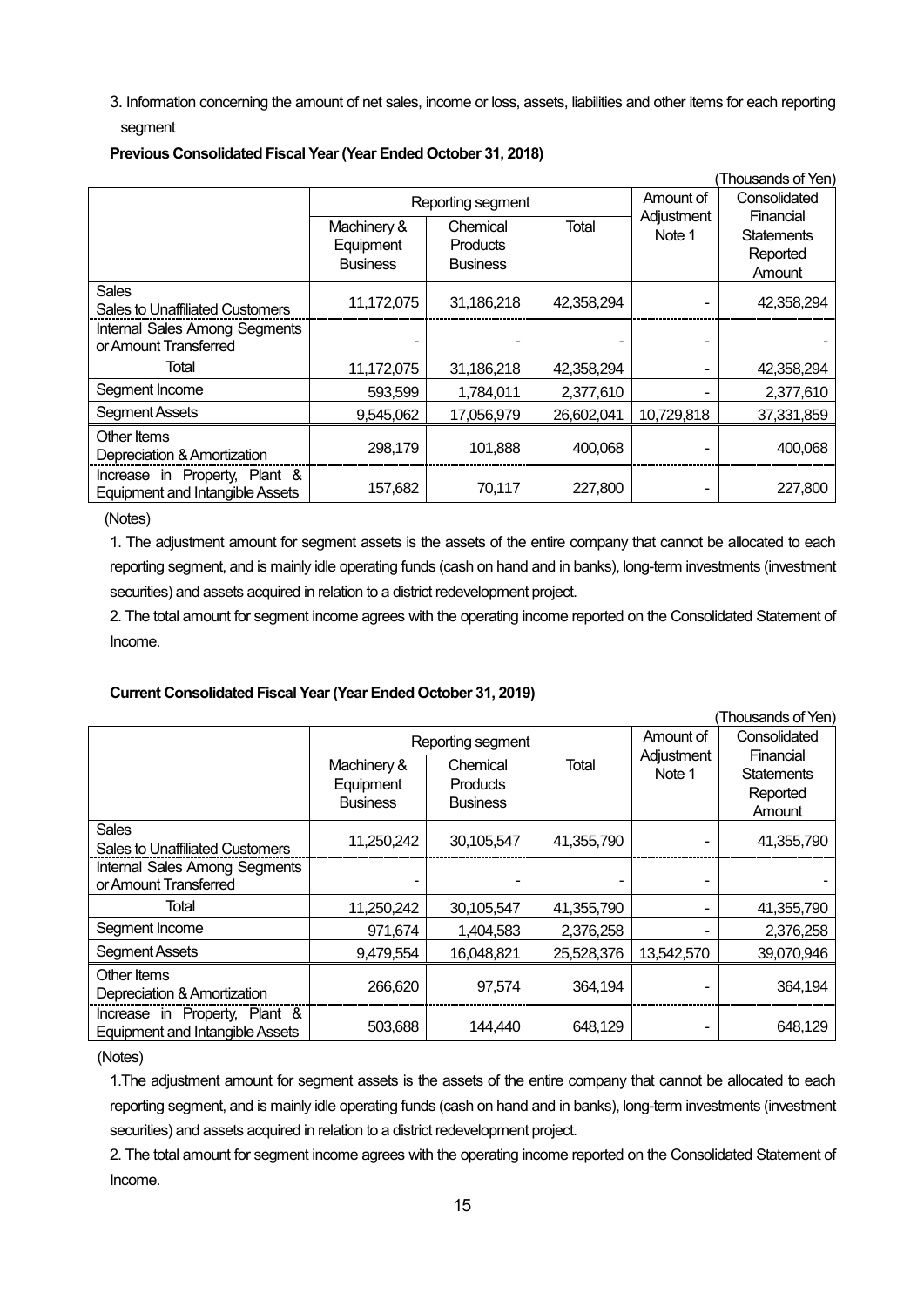3. Information concerning the amount of net sales, income or loss, assets, liabilities and other items for each reporting segment

|                                                                         |                                             |                                                |            |                      | (Thousands of Yen)                                   |
|-------------------------------------------------------------------------|---------------------------------------------|------------------------------------------------|------------|----------------------|------------------------------------------------------|
| Reporting segment                                                       |                                             |                                                |            |                      | Consolidated                                         |
|                                                                         | Machinery &<br>Equipment<br><b>Business</b> | Chemical<br><b>Products</b><br><b>Business</b> | Total      | Adjustment<br>Note 1 | Financial<br><b>Statements</b><br>Reported<br>Amount |
| <b>Sales</b><br><b>Sales to Unaffiliated Customers</b>                  | 11,172,075                                  | 31,186,218                                     | 42,358,294 |                      | 42,358,294                                           |
| Internal Sales Among Segments<br>or Amount Transferred                  |                                             |                                                |            |                      |                                                      |
| Total                                                                   | 11,172,075                                  | 31,186,218                                     | 42,358,294 |                      | 42,358,294                                           |
| Segment Income                                                          | 593,599                                     | 1,784,011                                      | 2,377,610  |                      | 2,377,610                                            |
| Segment Assets                                                          | 9,545,062                                   | 17,056,979                                     | 26,602,041 | 10,729,818           | 37,331,859                                           |
| Other Items<br>Depreciation & Amortization                              | 298,179                                     | 101,888                                        | 400,068    |                      | 400,068                                              |
| Increase in Property, Plant &<br><b>Equipment and Intangible Assets</b> | 157,682                                     | 70,117                                         | 227,800    |                      | 227,800                                              |

### **Previous Consolidated Fiscal Year (Year Ended October 31, 2018)**

(Notes)

1. The adjustment amount for segment assets is the assets of the entire company that cannot be allocated to each reporting segment, and is mainly idle operating funds (cash on hand and in banks), long-term investments (investment securities) and assets acquired in relation to a district redevelopment project.

2. The total amount for segment income agrees with the operating income reported on the Consolidated Statement of Income.

### **Current Consolidated Fiscal Year (Year Ended October 31, 2019)**

|                                                                         |                                             |                                                |            |                      | (Thousands of Yen)                                   |  |
|-------------------------------------------------------------------------|---------------------------------------------|------------------------------------------------|------------|----------------------|------------------------------------------------------|--|
|                                                                         | Reporting segment                           |                                                |            |                      |                                                      |  |
|                                                                         | Machinery &<br>Equipment<br><b>Business</b> | Chemical<br><b>Products</b><br><b>Business</b> | Total      | Adjustment<br>Note 1 | Financial<br><b>Statements</b><br>Reported<br>Amount |  |
| <b>Sales</b><br>Sales to Unaffiliated Customers                         | 11,250,242                                  | 30,105,547                                     | 41,355,790 |                      | 41,355,790                                           |  |
| Internal Sales Among Segments<br>or Amount Transferred                  |                                             |                                                |            |                      |                                                      |  |
| Total                                                                   | 11,250,242                                  | 30,105,547                                     | 41,355,790 |                      | 41,355,790                                           |  |
| Segment Income                                                          | 971,674                                     | 1,404,583                                      | 2,376,258  |                      | 2,376,258                                            |  |
| <b>Segment Assets</b>                                                   | 9,479,554                                   | 16,048,821                                     | 25,528,376 | 13,542,570           | 39,070,946                                           |  |
| Other Items<br>Depreciation & Amortization                              | 266,620                                     | 97,574                                         | 364,194    |                      | 364,194                                              |  |
| Increase in Property, Plant &<br><b>Equipment and Intangible Assets</b> | 503,688                                     | 144,440                                        | 648,129    |                      | 648,129                                              |  |

(Notes)

1.The adjustment amount for segment assets is the assets of the entire company that cannot be allocated to each reporting segment, and is mainly idle operating funds (cash on hand and in banks), long-term investments (investment securities) and assets acquired in relation to a district redevelopment project.

2. The total amount for segment income agrees with the operating income reported on the Consolidated Statement of Income.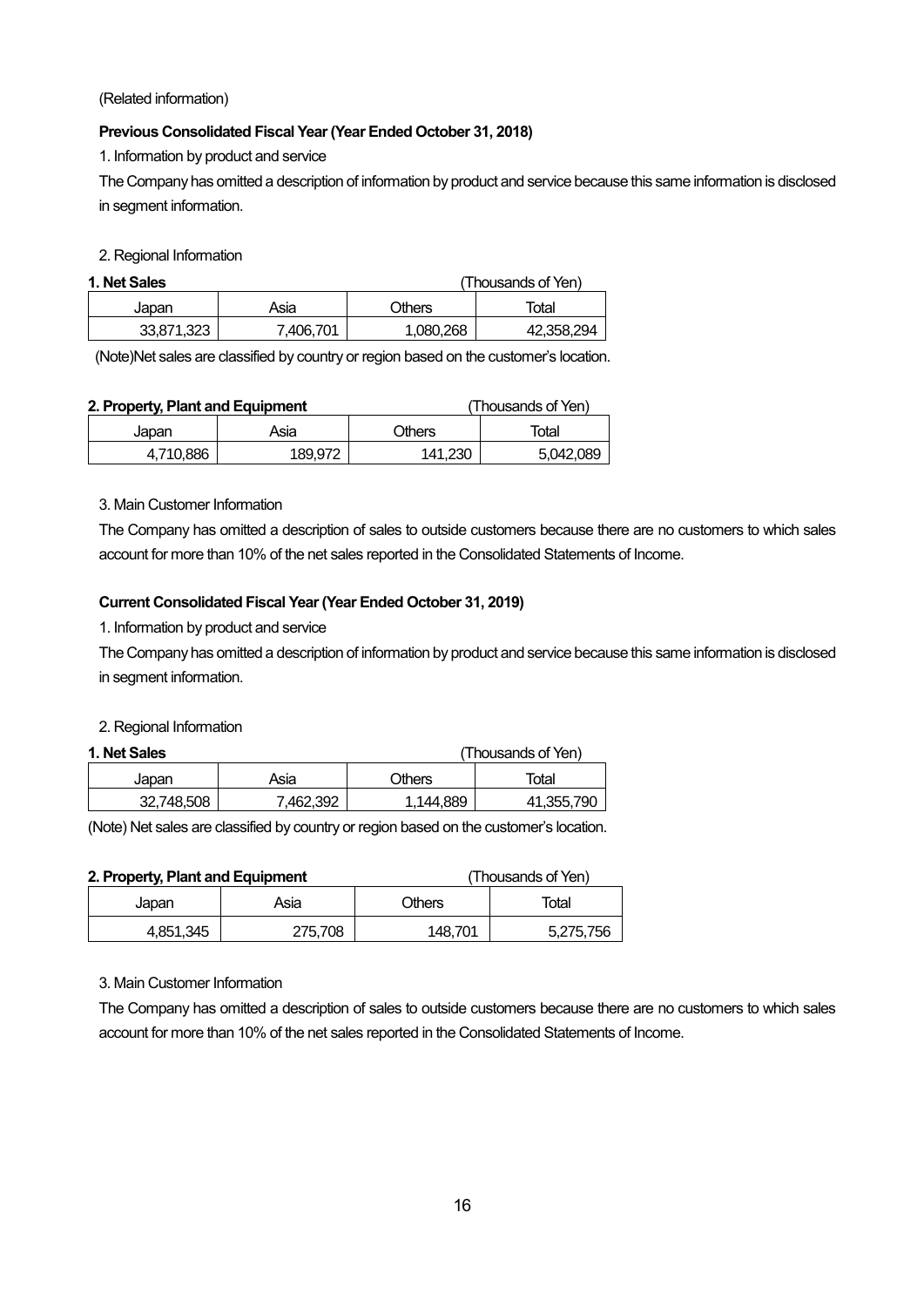(Related information)

# **Previous Consolidated Fiscal Year (Year Ended October 31, 2018)**

1. Information by product and service

The Company has omitted a description of information by product and service because this same information is disclosed in segment information.

2. Regional Information

| 1. Net Sales<br>(Thousands of Yen) |           |          |            |  |
|------------------------------------|-----------|----------|------------|--|
| Japan                              | Asia      | Others   | Total      |  |
| 33.871.323                         | 7.406.701 | .080.268 | 42,358,294 |  |

(Note)Net sales are classified by country or region based on the customer's location.

| 2. Property, Plant and Equipment |         |               | (Thousands of Yen) |
|----------------------------------|---------|---------------|--------------------|
| Japan                            | Asia    | <b>Others</b> | Total              |
| 4.710.886                        | 189.972 | 141.230       | 5,042,089          |

3. Main Customer Information

The Company has omitted a description of sales to outside customers because there are no customers to which sales account for more than 10% of the net sales reported in the Consolidated Statements of Income.

### **Current Consolidated Fiscal Year (Year Ended October 31, 2019)**

1. Information by product and service

The Company has omitted a description of information by product and service because this same information is disclosed in segment information.

### 2. Regional Information

# **1. Net Sales** (Thousands of Yen)

| 1. NU JAKS |          |               | THUUSAHUS UL TUHT |
|------------|----------|---------------|-------------------|
| Japan      | Asia     | <b>Cthers</b> | Total             |
| 32.748.508 | .462.392 | .144.889      | 41,355,790        |

(Note) Net sales are classified by country or region based on the customer's location.

| 2. Property, Plant and Equipment |           |         | (Thousands of Yen) |           |
|----------------------------------|-----------|---------|--------------------|-----------|
|                                  | Japan     | Asia    | Others             | Total     |
|                                  | 4,851,345 | 275,708 | 148.701            | 5,275,756 |

3. Main Customer Information

The Company has omitted a description of sales to outside customers because there are no customers to which sales account for more than 10% of the net sales reported in the Consolidated Statements of Income.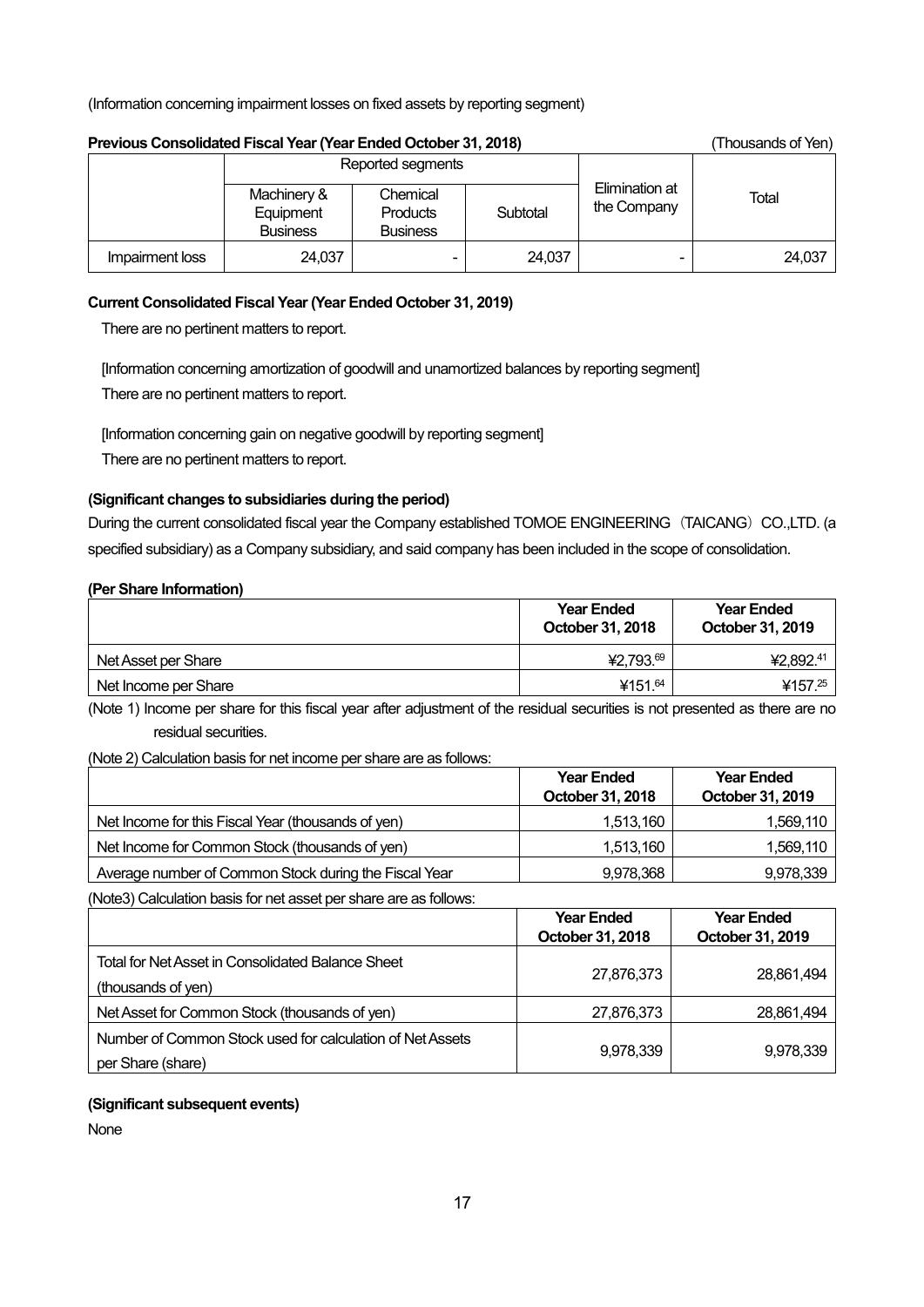(Information concerning impairment losses on fixed assets by reporting segment)

| Previous Consolidated Fiscal Year (Year Ended October 31, 2018) |                                             |                                                |          |                                        | (Thousands of Yen) |
|-----------------------------------------------------------------|---------------------------------------------|------------------------------------------------|----------|----------------------------------------|--------------------|
|                                                                 |                                             | Reported segments                              |          |                                        |                    |
|                                                                 | Machinery &<br>Equipment<br><b>Business</b> | Chemical<br><b>Products</b><br><b>Business</b> | Subtotal | Elimination at<br>Total<br>the Company |                    |
| Impairment loss                                                 | 24,037                                      |                                                | 24,037   |                                        | 24,037             |

### **Current Consolidated Fiscal Year (Year Ended October 31, 2019)**

There are no pertinent matters to report.

[Information concerning amortization of goodwill and unamortized balances by reporting segment] There are no pertinent matters to report.

[Information concerning gain on negative goodwill by reporting segment] There are no pertinent matters to report.

### **(Significant changes to subsidiaries during the period)**

During the current consolidated fiscal year the Company established TOMOE ENGINEERING (TAICANG) CO.,LTD. (a specified subsidiary) as a Company subsidiary, and said company has been included in the scope of consolidation.

### **(Per Share Information)**

|                      | <b>Year Ended</b><br>October 31, 2018 | <b>Year Ended</b><br>October 31, 2019 |
|----------------------|---------------------------------------|---------------------------------------|
| Net Asset per Share  | ¥2,793.69                             | ¥2,892.41                             |
| Net Income per Share | ¥151. <sup>64</sup>                   | ¥157.25                               |

(Note 1) Income per share for this fiscal year after adjustment of the residual securities is not presented as there are no residual securities.

### (Note 2) Calculation basis for net income per share are as follows:

|                                                       | <b>Year Ended</b> | <b>Year Ended</b> |
|-------------------------------------------------------|-------------------|-------------------|
|                                                       | October 31, 2018  | October 31, 2019  |
| Net Income for this Fiscal Year (thousands of yen)    | 1,513,160         | 1,569,110         |
| Net Income for Common Stock (thousands of yen)        | 1,513,160         | 1,569,110         |
| Average number of Common Stock during the Fiscal Year | 9,978,368         | 9,978,339         |

(Note3) Calculation basis for net asset per share are as follows:

|                                                                                | <b>Year Ended</b><br>October 31, 2018 | <b>Year Ended</b><br>October 31, 2019 |
|--------------------------------------------------------------------------------|---------------------------------------|---------------------------------------|
| Total for Net Asset in Consolidated Balance Sheet<br>(thousands of yen)        | 27,876,373                            | 28,861,494                            |
| Net Asset for Common Stock (thousands of yen)                                  | 27,876,373                            | 28,861,494                            |
| Number of Common Stock used for calculation of Net Assets<br>per Share (share) | 9,978,339                             | 9,978,339                             |

### **(Significant subsequent events)**

None